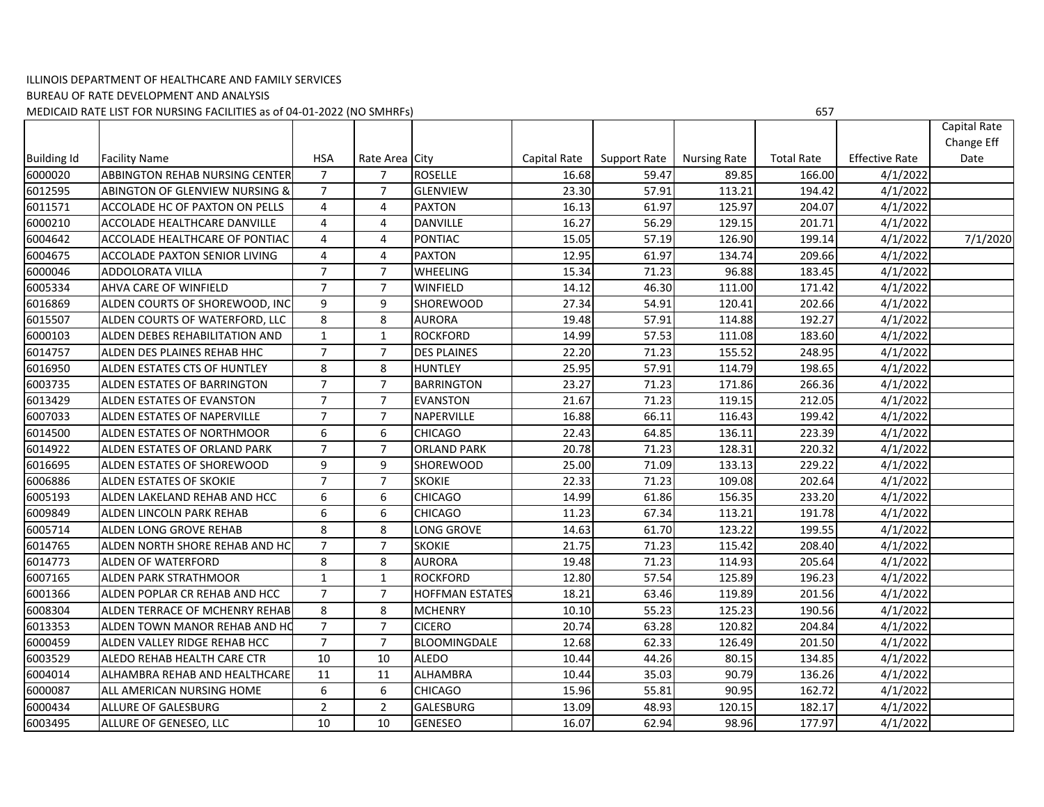## ILLINOIS DEPARTMENT OF HEALTHCARE AND FAMILY SERVICES BUREAU OF RATE DEVELOPMENT AND ANALYSIS MEDICAID RATE LIST FOR NURSING FACILITIES as of 04‐01‐2022 (NO SMHRFs) 657

|                    |                                           |                  |                |                        |              |              |                     |                   |                       | Capital Rate |
|--------------------|-------------------------------------------|------------------|----------------|------------------------|--------------|--------------|---------------------|-------------------|-----------------------|--------------|
|                    |                                           |                  |                |                        |              |              |                     |                   |                       | Change Eff   |
| <b>Building Id</b> | <b>Facility Name</b>                      | <b>HSA</b>       | Rate Area City |                        | Capital Rate | Support Rate | <b>Nursing Rate</b> | <b>Total Rate</b> | <b>Effective Rate</b> | Date         |
| 6000020            | ABBINGTON REHAB NURSING CENTER            | $\overline{7}$   | 7              | <b>ROSELLE</b>         | 16.68        | 59.47        | 89.85               | 166.00            | 4/1/2022              |              |
| 6012595            | <b>ABINGTON OF GLENVIEW NURSING &amp;</b> | $\overline{7}$   | $\overline{7}$ | <b>GLENVIEW</b>        | 23.30        | 57.91        | 113.21              | 194.42            | 4/1/2022              |              |
| 6011571            | ACCOLADE HC OF PAXTON ON PELLS            | $\overline{4}$   | 4              | <b>PAXTON</b>          | 16.13        | 61.97        | 125.97              | 204.07            | 4/1/2022              |              |
| 6000210            | ACCOLADE HEALTHCARE DANVILLE              | 4                | $\overline{4}$ | <b>DANVILLE</b>        | 16.27        | 56.29        | 129.15              | 201.71            | 4/1/2022              |              |
| 6004642            | ACCOLADE HEALTHCARE OF PONTIAC            | 4                | $\overline{4}$ | <b>PONTIAC</b>         | 15.05        | 57.19        | 126.90              | 199.14            | 4/1/2022              | 7/1/2020     |
| 6004675            | <b>ACCOLADE PAXTON SENIOR LIVING</b>      | 4                | $\overline{4}$ | <b>PAXTON</b>          | 12.95        | 61.97        | 134.74              | 209.66            | 4/1/2022              |              |
| 6000046            | ADDOLORATA VILLA                          | $\overline{7}$   | $\overline{7}$ | <b>WHEELING</b>        | 15.34        | 71.23        | 96.88               | 183.45            | 4/1/2022              |              |
| 6005334            | AHVA CARE OF WINFIELD                     | $\overline{7}$   | $\overline{7}$ | <b>WINFIELD</b>        | 14.12        | 46.30        | 111.00              | 171.42            | 4/1/2022              |              |
| 6016869            | ALDEN COURTS OF SHOREWOOD, INC            | 9                | 9              | <b>SHOREWOOD</b>       | 27.34        | 54.91        | 120.41              | 202.66            | 4/1/2022              |              |
| 6015507            | ALDEN COURTS OF WATERFORD, LLC            | 8                | 8              | <b>AURORA</b>          | 19.48        | 57.91        | 114.88              | 192.27            | 4/1/2022              |              |
| 6000103            | ALDEN DEBES REHABILITATION AND            | $\mathbf{1}$     | $\mathbf{1}$   | <b>ROCKFORD</b>        | 14.99        | 57.53        | 111.08              | 183.60            | 4/1/2022              |              |
| 6014757            | ALDEN DES PLAINES REHAB HHC               | $\overline{7}$   | $\overline{7}$ | <b>DES PLAINES</b>     | 22.20        | 71.23        | 155.52              | 248.95            | 4/1/2022              |              |
| 6016950            | ALDEN ESTATES CTS OF HUNTLEY              | 8                | 8              | <b>HUNTLEY</b>         | 25.95        | 57.91        | 114.79              | 198.65            | 4/1/2022              |              |
| 6003735            | ALDEN ESTATES OF BARRINGTON               | $\overline{7}$   | $\overline{7}$ | <b>BARRINGTON</b>      | 23.27        | 71.23        | 171.86              | 266.36            | 4/1/2022              |              |
| 6013429            | ALDEN ESTATES OF EVANSTON                 | $\overline{7}$   | $\overline{7}$ | <b>EVANSTON</b>        | 21.67        | 71.23        | 119.15              | 212.05            | 4/1/2022              |              |
| 6007033            | ALDEN ESTATES OF NAPERVILLE               | $\overline{7}$   | $\overline{7}$ | <b>NAPERVILLE</b>      | 16.88        | 66.11        | 116.43              | 199.42            | 4/1/2022              |              |
| 6014500            | ALDEN ESTATES OF NORTHMOOR                | 6                | 6              | <b>CHICAGO</b>         | 22.43        | 64.85        | 136.11              | 223.39            | 4/1/2022              |              |
| 6014922            | ALDEN ESTATES OF ORLAND PARK              | $\overline{7}$   | $\overline{7}$ | <b>ORLAND PARK</b>     | 20.78        | 71.23        | 128.31              | 220.32            | 4/1/2022              |              |
| 6016695            | ALDEN ESTATES OF SHOREWOOD                | 9                | 9              | <b>SHOREWOOD</b>       | 25.00        | 71.09        | 133.13              | 229.22            | 4/1/2022              |              |
| 6006886            | ALDEN ESTATES OF SKOKIE                   | $\overline{7}$   | $\overline{7}$ | <b>SKOKIE</b>          | 22.33        | 71.23        | 109.08              | 202.64            | 4/1/2022              |              |
| 6005193            | ALDEN LAKELAND REHAB AND HCC              | 6                | 6              | <b>CHICAGO</b>         | 14.99        | 61.86        | 156.35              | 233.20            | 4/1/2022              |              |
| 6009849            | ALDEN LINCOLN PARK REHAB                  | $\boldsymbol{6}$ | 6              | <b>CHICAGO</b>         | 11.23        | 67.34        | 113.21              | 191.78            | 4/1/2022              |              |
| 6005714            | ALDEN LONG GROVE REHAB                    | 8                | 8              | LONG GROVE             | 14.63        | 61.70        | 123.22              | 199.55            | 4/1/2022              |              |
| 6014765            | ALDEN NORTH SHORE REHAB AND HC            | $\overline{7}$   | $\overline{7}$ | <b>SKOKIE</b>          | 21.75        | 71.23        | 115.42              | 208.40            | 4/1/2022              |              |
| 6014773            | ALDEN OF WATERFORD                        | 8                | 8              | <b>AURORA</b>          | 19.48        | 71.23        | 114.93              | 205.64            | 4/1/2022              |              |
| 6007165            | ALDEN PARK STRATHMOOR                     | $\mathbf{1}$     | $\mathbf{1}$   | <b>ROCKFORD</b>        | 12.80        | 57.54        | 125.89              | 196.23            | 4/1/2022              |              |
| 6001366            | ALDEN POPLAR CR REHAB AND HCC             | $\overline{7}$   | $\overline{7}$ | <b>HOFFMAN ESTATES</b> | 18.21        | 63.46        | 119.89              | 201.56            | 4/1/2022              |              |
| 6008304            | ALDEN TERRACE OF MCHENRY REHAB            | 8                | 8              | <b>MCHENRY</b>         | 10.10        | 55.23        | 125.23              | 190.56            | 4/1/2022              |              |
| 6013353            | ALDEN TOWN MANOR REHAB AND HO             | $\overline{7}$   | $\overline{7}$ | <b>CICERO</b>          | 20.74        | 63.28        | 120.82              | 204.84            | 4/1/2022              |              |
| 6000459            | ALDEN VALLEY RIDGE REHAB HCC              | $\overline{7}$   | $\overline{7}$ | BLOOMINGDALE           | 12.68        | 62.33        | 126.49              | 201.50            | 4/1/2022              |              |
| 6003529            | ALEDO REHAB HEALTH CARE CTR               | 10               | 10             | <b>ALEDO</b>           | 10.44        | 44.26        | 80.15               | 134.85            | 4/1/2022              |              |
| 6004014            | ALHAMBRA REHAB AND HEALTHCARE             | 11               | 11             | <b>ALHAMBRA</b>        | 10.44        | 35.03        | 90.79               | 136.26            | 4/1/2022              |              |
| 6000087            | ALL AMERICAN NURSING HOME                 | 6                | 6              | <b>CHICAGO</b>         | 15.96        | 55.81        | 90.95               | 162.72            | 4/1/2022              |              |
| 6000434            | ALLURE OF GALESBURG                       | $\overline{2}$   | $\overline{2}$ | GALESBURG              | 13.09        | 48.93        | 120.15              | 182.17            | 4/1/2022              |              |
| 6003495            | ALLURE OF GENESEO, LLC                    | 10               | 10             | <b>GENESEO</b>         | 16.07        | 62.94        | 98.96               | 177.97            | 4/1/2022              |              |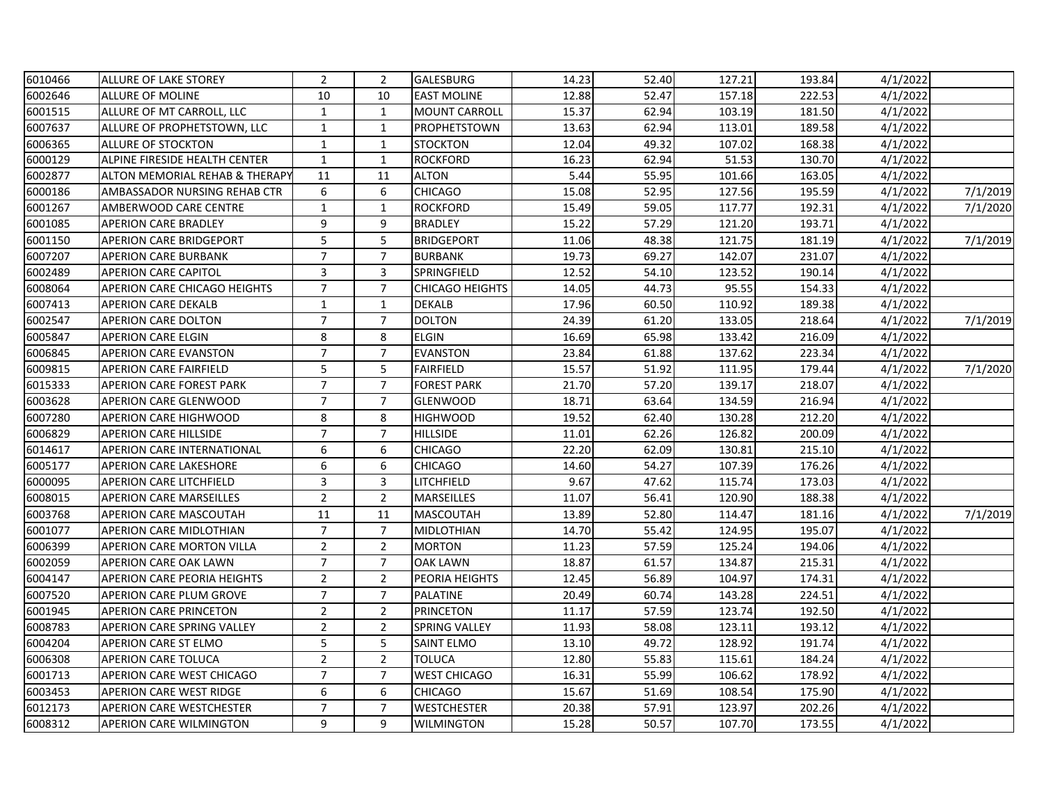| 6010466 | <b>ALLURE OF LAKE STOREY</b>      | $\overline{2}$ | $\overline{2}$ | GALESBURG              | 14.23 | 52.40 | 127.21 | 193.84 | 4/1/2022 |          |
|---------|-----------------------------------|----------------|----------------|------------------------|-------|-------|--------|--------|----------|----------|
| 6002646 | ALLURE OF MOLINE                  | 10             | 10             | <b>EAST MOLINE</b>     | 12.88 | 52.47 | 157.18 | 222.53 | 4/1/2022 |          |
| 6001515 | ALLURE OF MT CARROLL, LLC         | $\mathbf{1}$   | $\mathbf{1}$   | <b>MOUNT CARROLL</b>   | 15.37 | 62.94 | 103.19 | 181.50 | 4/1/2022 |          |
| 6007637 | ALLURE OF PROPHETSTOWN, LLC       | $\mathbf{1}$   | $\mathbf{1}$   | <b>PROPHETSTOWN</b>    | 13.63 | 62.94 | 113.01 | 189.58 | 4/1/2022 |          |
| 6006365 | ALLURE OF STOCKTON                | 1              | $\mathbf{1}$   | <b>STOCKTON</b>        | 12.04 | 49.32 | 107.02 | 168.38 | 4/1/2022 |          |
| 6000129 | ALPINE FIRESIDE HEALTH CENTER     | $\mathbf{1}$   | $\mathbf{1}$   | <b>ROCKFORD</b>        | 16.23 | 62.94 | 51.53  | 130.70 | 4/1/2022 |          |
| 6002877 | ALTON MEMORIAL REHAB & THERAPY    | 11             | 11             | <b>ALTON</b>           | 5.44  | 55.95 | 101.66 | 163.05 | 4/1/2022 |          |
| 6000186 | AMBASSADOR NURSING REHAB CTR      | 6              | 6              | <b>CHICAGO</b>         | 15.08 | 52.95 | 127.56 | 195.59 | 4/1/2022 | 7/1/2019 |
| 6001267 | AMBERWOOD CARE CENTRE             | $\mathbf{1}$   | $\mathbf{1}$   | <b>ROCKFORD</b>        | 15.49 | 59.05 | 117.77 | 192.31 | 4/1/2022 | 7/1/2020 |
| 6001085 | <b>APERION CARE BRADLEY</b>       | 9              | 9              | <b>BRADLEY</b>         | 15.22 | 57.29 | 121.20 | 193.71 | 4/1/2022 |          |
| 6001150 | <b>APERION CARE BRIDGEPORT</b>    | 5              | 5              | <b>BRIDGEPORT</b>      | 11.06 | 48.38 | 121.75 | 181.19 | 4/1/2022 | 7/1/2019 |
| 6007207 | <b>APERION CARE BURBANK</b>       | $\overline{7}$ | $\overline{7}$ | <b>BURBANK</b>         | 19.73 | 69.27 | 142.07 | 231.07 | 4/1/2022 |          |
| 6002489 | <b>APERION CARE CAPITOL</b>       | 3              | 3              | SPRINGFIELD            | 12.52 | 54.10 | 123.52 | 190.14 | 4/1/2022 |          |
| 6008064 | APERION CARE CHICAGO HEIGHTS      | $\overline{7}$ | $\overline{7}$ | <b>CHICAGO HEIGHTS</b> | 14.05 | 44.73 | 95.55  | 154.33 | 4/1/2022 |          |
| 6007413 | <b>APERION CARE DEKALB</b>        | $\mathbf{1}$   | $\mathbf{1}$   | <b>DEKALB</b>          | 17.96 | 60.50 | 110.92 | 189.38 | 4/1/2022 |          |
| 6002547 | APERION CARE DOLTON               | $\overline{7}$ | $\overline{7}$ | <b>DOLTON</b>          | 24.39 | 61.20 | 133.05 | 218.64 | 4/1/2022 | 7/1/2019 |
| 6005847 | <b>APERION CARE ELGIN</b>         | 8              | 8              | <b>ELGIN</b>           | 16.69 | 65.98 | 133.42 | 216.09 | 4/1/2022 |          |
| 6006845 | <b>APERION CARE EVANSTON</b>      | $\overline{7}$ | $\overline{7}$ | <b>EVANSTON</b>        | 23.84 | 61.88 | 137.62 | 223.34 | 4/1/2022 |          |
| 6009815 | <b>APERION CARE FAIRFIELD</b>     | 5              | 5              | <b>FAIRFIELD</b>       | 15.57 | 51.92 | 111.95 | 179.44 | 4/1/2022 | 7/1/2020 |
| 6015333 | APERION CARE FOREST PARK          | $\overline{7}$ | $\overline{7}$ | <b>FOREST PARK</b>     | 21.70 | 57.20 | 139.17 | 218.07 | 4/1/2022 |          |
| 6003628 | APERION CARE GLENWOOD             | $\overline{7}$ | $\overline{7}$ | <b>GLENWOOD</b>        | 18.71 | 63.64 | 134.59 | 216.94 | 4/1/2022 |          |
| 6007280 | APERION CARE HIGHWOOD             | 8              | 8              | <b>HIGHWOOD</b>        | 19.52 | 62.40 | 130.28 | 212.20 | 4/1/2022 |          |
| 6006829 | <b>APERION CARE HILLSIDE</b>      | $\overline{7}$ | $\overline{7}$ | <b>HILLSIDE</b>        | 11.01 | 62.26 | 126.82 | 200.09 | 4/1/2022 |          |
| 6014617 | APERION CARE INTERNATIONAL        | 6              | 6              | <b>CHICAGO</b>         | 22.20 | 62.09 | 130.81 | 215.10 | 4/1/2022 |          |
| 6005177 | <b>APERION CARE LAKESHORE</b>     | 6              | 6              | <b>CHICAGO</b>         | 14.60 | 54.27 | 107.39 | 176.26 | 4/1/2022 |          |
| 6000095 | <b>APERION CARE LITCHFIELD</b>    | 3              | 3              | LITCHFIELD             | 9.67  | 47.62 | 115.74 | 173.03 | 4/1/2022 |          |
| 6008015 | <b>APERION CARE MARSEILLES</b>    | $\overline{2}$ | $\overline{2}$ | MARSEILLES             | 11.07 | 56.41 | 120.90 | 188.38 | 4/1/2022 |          |
| 6003768 | APERION CARE MASCOUTAH            | 11             | 11             | <b>MASCOUTAH</b>       | 13.89 | 52.80 | 114.47 | 181.16 | 4/1/2022 | 7/1/2019 |
| 6001077 | <b>APERION CARE MIDLOTHIAN</b>    | $\overline{7}$ | $\overline{7}$ | <b>MIDLOTHIAN</b>      | 14.70 | 55.42 | 124.95 | 195.07 | 4/1/2022 |          |
| 6006399 | APERION CARE MORTON VILLA         | $\overline{2}$ | $\overline{2}$ | <b>MORTON</b>          | 11.23 | 57.59 | 125.24 | 194.06 | 4/1/2022 |          |
| 6002059 | APERION CARE OAK LAWN             | $\overline{7}$ | $\overline{7}$ | <b>OAK LAWN</b>        | 18.87 | 61.57 | 134.87 | 215.31 | 4/1/2022 |          |
| 6004147 | APERION CARE PEORIA HEIGHTS       | $\overline{2}$ | $\overline{2}$ | PEORIA HEIGHTS         | 12.45 | 56.89 | 104.97 | 174.31 | 4/1/2022 |          |
| 6007520 | APERION CARE PLUM GROVE           | $\overline{7}$ | $\overline{7}$ | <b>PALATINE</b>        | 20.49 | 60.74 | 143.28 | 224.51 | 4/1/2022 |          |
| 6001945 | <b>APERION CARE PRINCETON</b>     | $\overline{2}$ | $\overline{2}$ | <b>PRINCETON</b>       | 11.17 | 57.59 | 123.74 | 192.50 | 4/1/2022 |          |
| 6008783 | <b>APERION CARE SPRING VALLEY</b> | $\overline{2}$ | $\overline{2}$ | <b>SPRING VALLEY</b>   | 11.93 | 58.08 | 123.11 | 193.12 | 4/1/2022 |          |
| 6004204 | APERION CARE ST ELMO              | 5              | 5              | <b>SAINT ELMO</b>      | 13.10 | 49.72 | 128.92 | 191.74 | 4/1/2022 |          |
| 6006308 | <b>APERION CARE TOLUCA</b>        | $\overline{2}$ | $\overline{2}$ | <b>TOLUCA</b>          | 12.80 | 55.83 | 115.61 | 184.24 | 4/1/2022 |          |
| 6001713 | APERION CARE WEST CHICAGO         | $\overline{7}$ | $\overline{7}$ | <b>WEST CHICAGO</b>    | 16.31 | 55.99 | 106.62 | 178.92 | 4/1/2022 |          |
| 6003453 | APERION CARE WEST RIDGE           | 6              | 6              | <b>CHICAGO</b>         | 15.67 | 51.69 | 108.54 | 175.90 | 4/1/2022 |          |
| 6012173 | <b>APERION CARE WESTCHESTER</b>   | $\overline{7}$ | $\overline{7}$ | <b>WESTCHESTER</b>     | 20.38 | 57.91 | 123.97 | 202.26 | 4/1/2022 |          |
| 6008312 | <b>APERION CARE WILMINGTON</b>    | 9              | 9              | <b>WILMINGTON</b>      | 15.28 | 50.57 | 107.70 | 173.55 | 4/1/2022 |          |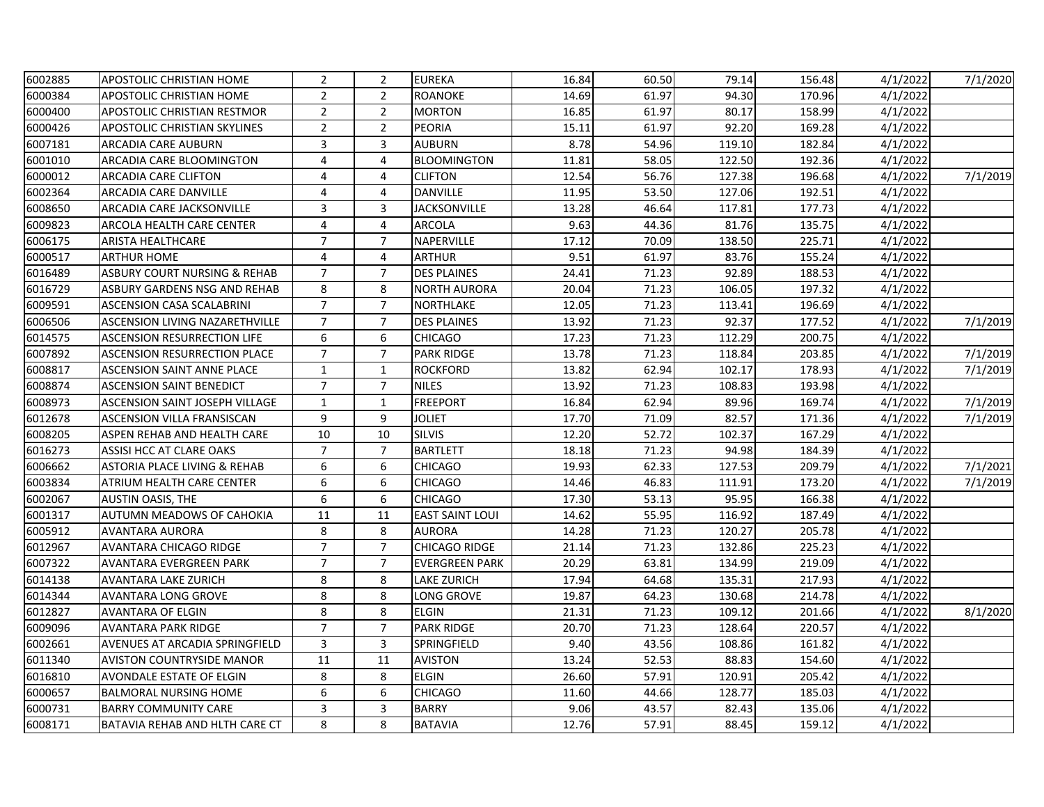| 6002885 | <b>APOSTOLIC CHRISTIAN HOME</b>         | $\overline{2}$          | $\overline{2}$ | <b>EUREKA</b>          | 16.84 | 60.50 | 79.14  | 156.48 | 4/1/2022 | 7/1/2020 |
|---------|-----------------------------------------|-------------------------|----------------|------------------------|-------|-------|--------|--------|----------|----------|
| 6000384 | <b>APOSTOLIC CHRISTIAN HOME</b>         | $\overline{2}$          | $\overline{2}$ | <b>ROANOKE</b>         | 14.69 | 61.97 | 94.30  | 170.96 | 4/1/2022 |          |
| 6000400 | <b>APOSTOLIC CHRISTIAN RESTMOR</b>      | $\overline{2}$          | $\overline{2}$ | <b>MORTON</b>          | 16.85 | 61.97 | 80.17  | 158.99 | 4/1/2022 |          |
| 6000426 | <b>APOSTOLIC CHRISTIAN SKYLINES</b>     | $\overline{2}$          | $\overline{2}$ | <b>PEORIA</b>          | 15.11 | 61.97 | 92.20  | 169.28 | 4/1/2022 |          |
| 6007181 | ARCADIA CARE AUBURN                     | $\mathbf{3}$            | 3              | <b>AUBURN</b>          | 8.78  | 54.96 | 119.10 | 182.84 | 4/1/2022 |          |
| 6001010 | ARCADIA CARE BLOOMINGTON                | $\overline{4}$          | 4              | <b>BLOOMINGTON</b>     | 11.81 | 58.05 | 122.50 | 192.36 | 4/1/2022 |          |
| 6000012 | <b>ARCADIA CARE CLIFTON</b>             | 4                       | 4              | <b>CLIFTON</b>         | 12.54 | 56.76 | 127.38 | 196.68 | 4/1/2022 | 7/1/2019 |
| 6002364 | <b>ARCADIA CARE DANVILLE</b>            | $\overline{4}$          | 4              | DANVILLE               | 11.95 | 53.50 | 127.06 | 192.51 | 4/1/2022 |          |
| 6008650 | ARCADIA CARE JACKSONVILLE               | 3                       | 3              | <b>JACKSONVILLE</b>    | 13.28 | 46.64 | 117.81 | 177.73 | 4/1/2022 |          |
| 6009823 | <b>ARCOLA HEALTH CARE CENTER</b>        | 4                       | 4              | <b>ARCOLA</b>          | 9.63  | 44.36 | 81.76  | 135.75 | 4/1/2022 |          |
| 6006175 | <b>ARISTA HEALTHCARE</b>                | $\overline{7}$          | $\overline{7}$ | NAPERVILLE             | 17.12 | 70.09 | 138.50 | 225.71 | 4/1/2022 |          |
| 6000517 | <b>ARTHUR HOME</b>                      | 4                       | 4              | <b>ARTHUR</b>          | 9.51  | 61.97 | 83.76  | 155.24 | 4/1/2022 |          |
| 6016489 | <b>ASBURY COURT NURSING &amp; REHAB</b> | $\overline{7}$          | $\overline{7}$ | <b>DES PLAINES</b>     | 24.41 | 71.23 | 92.89  | 188.53 | 4/1/2022 |          |
| 6016729 | ASBURY GARDENS NSG AND REHAB            | 8                       | 8              | <b>NORTH AURORA</b>    | 20.04 | 71.23 | 106.05 | 197.32 | 4/1/2022 |          |
| 6009591 | <b>ASCENSION CASA SCALABRINI</b>        | $\overline{7}$          | $\overline{7}$ | <b>NORTHLAKE</b>       | 12.05 | 71.23 | 113.41 | 196.69 | 4/1/2022 |          |
| 6006506 | <b>ASCENSION LIVING NAZARETHVILLE</b>   | $\overline{7}$          | $\overline{7}$ | <b>DES PLAINES</b>     | 13.92 | 71.23 | 92.37  | 177.52 | 4/1/2022 | 7/1/2019 |
| 6014575 | <b>ASCENSION RESURRECTION LIFE</b>      | 6                       | 6              | <b>CHICAGO</b>         | 17.23 | 71.23 | 112.29 | 200.75 | 4/1/2022 |          |
| 6007892 | <b>ASCENSION RESURRECTION PLACE</b>     | $\overline{7}$          | $\overline{7}$ | <b>PARK RIDGE</b>      | 13.78 | 71.23 | 118.84 | 203.85 | 4/1/2022 | 7/1/2019 |
| 6008817 | <b>ASCENSION SAINT ANNE PLACE</b>       | $\mathbf{1}$            | $\mathbf{1}$   | <b>ROCKFORD</b>        | 13.82 | 62.94 | 102.17 | 178.93 | 4/1/2022 | 7/1/2019 |
| 6008874 | <b>ASCENSION SAINT BENEDICT</b>         | $\overline{7}$          | $\overline{7}$ | <b>NILES</b>           | 13.92 | 71.23 | 108.83 | 193.98 | 4/1/2022 |          |
| 6008973 | <b>ASCENSION SAINT JOSEPH VILLAGE</b>   | $\mathbf{1}$            | $\mathbf{1}$   | <b>FREEPORT</b>        | 16.84 | 62.94 | 89.96  | 169.74 | 4/1/2022 | 7/1/2019 |
| 6012678 | <b>ASCENSION VILLA FRANSISCAN</b>       | 9                       | 9              | JOLIET                 | 17.70 | 71.09 | 82.57  | 171.36 | 4/1/2022 | 7/1/2019 |
| 6008205 | ASPEN REHAB AND HEALTH CARE             | 10                      | 10             | <b>SILVIS</b>          | 12.20 | 52.72 | 102.37 | 167.29 | 4/1/2022 |          |
| 6016273 | <b>ASSISI HCC AT CLARE OAKS</b>         | $\overline{7}$          | $\overline{7}$ | <b>BARTLETT</b>        | 18.18 | 71.23 | 94.98  | 184.39 | 4/1/2022 |          |
| 6006662 | <b>ASTORIA PLACE LIVING &amp; REHAB</b> | 6                       | 6              | <b>CHICAGO</b>         | 19.93 | 62.33 | 127.53 | 209.79 | 4/1/2022 | 7/1/2021 |
| 6003834 | ATRIUM HEALTH CARE CENTER               | 6                       | 6              | <b>CHICAGO</b>         | 14.46 | 46.83 | 111.91 | 173.20 | 4/1/2022 | 7/1/2019 |
| 6002067 | <b>AUSTIN OASIS, THE</b>                | 6                       | 6              | <b>CHICAGO</b>         | 17.30 | 53.13 | 95.95  | 166.38 | 4/1/2022 |          |
| 6001317 | AUTUMN MEADOWS OF CAHOKIA               | 11                      | 11             | <b>EAST SAINT LOUI</b> | 14.62 | 55.95 | 116.92 | 187.49 | 4/1/2022 |          |
| 6005912 | <b>AVANTARA AURORA</b>                  | 8                       | 8              | <b>AURORA</b>          | 14.28 | 71.23 | 120.27 | 205.78 | 4/1/2022 |          |
| 6012967 | <b>AVANTARA CHICAGO RIDGE</b>           | $\overline{7}$          | $\overline{7}$ | <b>CHICAGO RIDGE</b>   | 21.14 | 71.23 | 132.86 | 225.23 | 4/1/2022 |          |
| 6007322 | AVANTARA EVERGREEN PARK                 | $\overline{7}$          | $\overline{7}$ | <b>EVERGREEN PARK</b>  | 20.29 | 63.81 | 134.99 | 219.09 | 4/1/2022 |          |
| 6014138 | <b>AVANTARA LAKE ZURICH</b>             | $\bf 8$                 | 8              | <b>LAKE ZURICH</b>     | 17.94 | 64.68 | 135.31 | 217.93 | 4/1/2022 |          |
| 6014344 | <b>AVANTARA LONG GROVE</b>              | 8                       | 8              | LONG GROVE             | 19.87 | 64.23 | 130.68 | 214.78 | 4/1/2022 |          |
| 6012827 | <b>AVANTARA OF ELGIN</b>                | 8                       | 8              | <b>ELGIN</b>           | 21.31 | 71.23 | 109.12 | 201.66 | 4/1/2022 | 8/1/2020 |
| 6009096 | <b>AVANTARA PARK RIDGE</b>              | $\overline{7}$          | $\overline{7}$ | <b>PARK RIDGE</b>      | 20.70 | 71.23 | 128.64 | 220.57 | 4/1/2022 |          |
| 6002661 | AVENUES AT ARCADIA SPRINGFIELD          | $\overline{\mathbf{3}}$ | 3              | SPRINGFIELD            | 9.40  | 43.56 | 108.86 | 161.82 | 4/1/2022 |          |
| 6011340 | <b>AVISTON COUNTRYSIDE MANOR</b>        | 11                      | 11             | <b>AVISTON</b>         | 13.24 | 52.53 | 88.83  | 154.60 | 4/1/2022 |          |
| 6016810 | AVONDALE ESTATE OF ELGIN                | 8                       | 8              | <b>ELGIN</b>           | 26.60 | 57.91 | 120.91 | 205.42 | 4/1/2022 |          |
| 6000657 | <b>BALMORAL NURSING HOME</b>            | 6                       | 6              | <b>CHICAGO</b>         | 11.60 | 44.66 | 128.77 | 185.03 | 4/1/2022 |          |
| 6000731 | <b>BARRY COMMUNITY CARE</b>             | 3                       | 3              | <b>BARRY</b>           | 9.06  | 43.57 | 82.43  | 135.06 | 4/1/2022 |          |
| 6008171 | <b>BATAVIA REHAB AND HLTH CARE CT</b>   | 8                       | 8              | <b>BATAVIA</b>         | 12.76 | 57.91 | 88.45  | 159.12 | 4/1/2022 |          |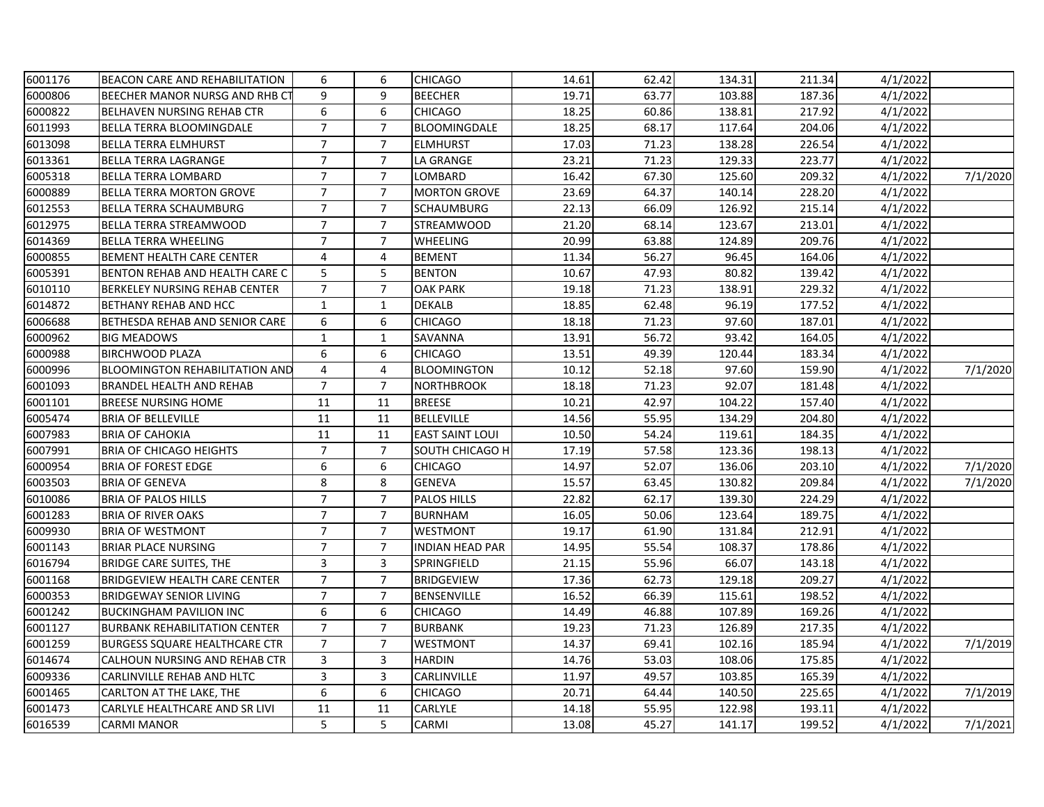| 6001176 | <b>BEACON CARE AND REHABILITATION</b> | 6              | 6              | <b>CHICAGO</b>         | 14.61 | 62.42 | 134.31 | 211.34 | 4/1/2022 |          |
|---------|---------------------------------------|----------------|----------------|------------------------|-------|-------|--------|--------|----------|----------|
| 6000806 | BEECHER MANOR NURSG AND RHB CT        | 9              | 9              | <b>BEECHER</b>         | 19.71 | 63.77 | 103.88 | 187.36 | 4/1/2022 |          |
| 6000822 | <b>BELHAVEN NURSING REHAB CTR</b>     | 6              | 6              | <b>CHICAGO</b>         | 18.25 | 60.86 | 138.81 | 217.92 | 4/1/2022 |          |
| 6011993 | <b>BELLA TERRA BLOOMINGDALE</b>       | $\overline{7}$ | $\overline{7}$ | <b>BLOOMINGDALE</b>    | 18.25 | 68.17 | 117.64 | 204.06 | 4/1/2022 |          |
| 6013098 | <b>BELLA TERRA ELMHURST</b>           | $\overline{7}$ | $\overline{7}$ | <b>ELMHURST</b>        | 17.03 | 71.23 | 138.28 | 226.54 | 4/1/2022 |          |
| 6013361 | <b>BELLA TERRA LAGRANGE</b>           | $\overline{7}$ | $\overline{7}$ | LA GRANGE              | 23.21 | 71.23 | 129.33 | 223.77 | 4/1/2022 |          |
| 6005318 | <b>BELLA TERRA LOMBARD</b>            | $\overline{7}$ | $\overline{7}$ | LOMBARD                | 16.42 | 67.30 | 125.60 | 209.32 | 4/1/2022 | 7/1/2020 |
| 6000889 | <b>BELLA TERRA MORTON GROVE</b>       | $\overline{7}$ | $\overline{7}$ | <b>MORTON GROVE</b>    | 23.69 | 64.37 | 140.14 | 228.20 | 4/1/2022 |          |
| 6012553 | <b>BELLA TERRA SCHAUMBURG</b>         | $\overline{7}$ | $\overline{7}$ | <b>SCHAUMBURG</b>      | 22.13 | 66.09 | 126.92 | 215.14 | 4/1/2022 |          |
| 6012975 | <b>BELLA TERRA STREAMWOOD</b>         | $\overline{7}$ | $\overline{7}$ | <b>STREAMWOOD</b>      | 21.20 | 68.14 | 123.67 | 213.01 | 4/1/2022 |          |
| 6014369 | <b>BELLA TERRA WHEELING</b>           | $\overline{7}$ | $\overline{7}$ | <b>WHEELING</b>        | 20.99 | 63.88 | 124.89 | 209.76 | 4/1/2022 |          |
| 6000855 | <b>BEMENT HEALTH CARE CENTER</b>      | 4              | 4              | <b>BEMENT</b>          | 11.34 | 56.27 | 96.45  | 164.06 | 4/1/2022 |          |
| 6005391 | <b>BENTON REHAB AND HEALTH CARE C</b> | 5              | 5              | <b>BENTON</b>          | 10.67 | 47.93 | 80.82  | 139.42 | 4/1/2022 |          |
| 6010110 | <b>BERKELEY NURSING REHAB CENTER</b>  | $\overline{7}$ | $\overline{7}$ | <b>OAK PARK</b>        | 19.18 | 71.23 | 138.91 | 229.32 | 4/1/2022 |          |
| 6014872 | <b>BETHANY REHAB AND HCC</b>          | $\mathbf{1}$   | $\mathbf{1}$   | <b>DEKALB</b>          | 18.85 | 62.48 | 96.19  | 177.52 | 4/1/2022 |          |
| 6006688 | BETHESDA REHAB AND SENIOR CARE        | 6              | 6              | <b>CHICAGO</b>         | 18.18 | 71.23 | 97.60  | 187.01 | 4/1/2022 |          |
| 6000962 | <b>BIG MEADOWS</b>                    | $\mathbf{1}$   | $\mathbf{1}$   | SAVANNA                | 13.91 | 56.72 | 93.42  | 164.05 | 4/1/2022 |          |
| 6000988 | <b>BIRCHWOOD PLAZA</b>                | 6              | 6              | <b>CHICAGO</b>         | 13.51 | 49.39 | 120.44 | 183.34 | 4/1/2022 |          |
| 6000996 | <b>BLOOMINGTON REHABILITATION AND</b> | $\overline{4}$ | 4              | <b>BLOOMINGTON</b>     | 10.12 | 52.18 | 97.60  | 159.90 | 4/1/2022 | 7/1/2020 |
| 6001093 | <b>BRANDEL HEALTH AND REHAB</b>       | $\overline{7}$ | $\overline{7}$ | <b>NORTHBROOK</b>      | 18.18 | 71.23 | 92.07  | 181.48 | 4/1/2022 |          |
| 6001101 | <b>BREESE NURSING HOME</b>            | 11             | 11             | <b>BREESE</b>          | 10.21 | 42.97 | 104.22 | 157.40 | 4/1/2022 |          |
| 6005474 | <b>BRIA OF BELLEVILLE</b>             | 11             | 11             | <b>BELLEVILLE</b>      | 14.56 | 55.95 | 134.29 | 204.80 | 4/1/2022 |          |
| 6007983 | <b>BRIA OF CAHOKIA</b>                | 11             | 11             | <b>EAST SAINT LOUI</b> | 10.50 | 54.24 | 119.61 | 184.35 | 4/1/2022 |          |
| 6007991 | <b>BRIA OF CHICAGO HEIGHTS</b>        | $\overline{7}$ | $\overline{7}$ | SOUTH CHICAGO H        | 17.19 | 57.58 | 123.36 | 198.13 | 4/1/2022 |          |
| 6000954 | <b>BRIA OF FOREST EDGE</b>            | 6              | 6              | <b>CHICAGO</b>         | 14.97 | 52.07 | 136.06 | 203.10 | 4/1/2022 | 7/1/2020 |
| 6003503 | <b>BRIA OF GENEVA</b>                 | 8              | 8              | <b>GENEVA</b>          | 15.57 | 63.45 | 130.82 | 209.84 | 4/1/2022 | 7/1/2020 |
| 6010086 | <b>BRIA OF PALOS HILLS</b>            | $\overline{7}$ | $\overline{7}$ | <b>PALOS HILLS</b>     | 22.82 | 62.17 | 139.30 | 224.29 | 4/1/2022 |          |
| 6001283 | <b>BRIA OF RIVER OAKS</b>             | $\overline{7}$ | $\overline{7}$ | <b>BURNHAM</b>         | 16.05 | 50.06 | 123.64 | 189.75 | 4/1/2022 |          |
| 6009930 | <b>BRIA OF WESTMONT</b>               | $\overline{7}$ | $\overline{7}$ | <b>WESTMONT</b>        | 19.17 | 61.90 | 131.84 | 212.91 | 4/1/2022 |          |
| 6001143 | <b>BRIAR PLACE NURSING</b>            | $\overline{7}$ | $\overline{7}$ | <b>INDIAN HEAD PAR</b> | 14.95 | 55.54 | 108.37 | 178.86 | 4/1/2022 |          |
| 6016794 | <b>BRIDGE CARE SUITES, THE</b>        | 3              | 3              | SPRINGFIELD            | 21.15 | 55.96 | 66.07  | 143.18 | 4/1/2022 |          |
| 6001168 | <b>BRIDGEVIEW HEALTH CARE CENTER</b>  | $\overline{7}$ | $\overline{7}$ | <b>BRIDGEVIEW</b>      | 17.36 | 62.73 | 129.18 | 209.27 | 4/1/2022 |          |
| 6000353 | <b>BRIDGEWAY SENIOR LIVING</b>        | $\overline{7}$ | $\overline{7}$ | BENSENVILLE            | 16.52 | 66.39 | 115.61 | 198.52 | 4/1/2022 |          |
| 6001242 | <b>BUCKINGHAM PAVILION INC</b>        | 6              | 6              | <b>CHICAGO</b>         | 14.49 | 46.88 | 107.89 | 169.26 | 4/1/2022 |          |
| 6001127 | <b>BURBANK REHABILITATION CENTER</b>  | $\overline{7}$ | $\overline{7}$ | <b>BURBANK</b>         | 19.23 | 71.23 | 126.89 | 217.35 | 4/1/2022 |          |
| 6001259 | <b>BURGESS SQUARE HEALTHCARE CTR</b>  | $\overline{7}$ | $\overline{7}$ | WESTMONT               | 14.37 | 69.41 | 102.16 | 185.94 | 4/1/2022 | 7/1/2019 |
| 6014674 | CALHOUN NURSING AND REHAB CTR         | 3              | 3              | <b>HARDIN</b>          | 14.76 | 53.03 | 108.06 | 175.85 | 4/1/2022 |          |
| 6009336 | CARLINVILLE REHAB AND HLTC            | 3              | 3              | CARLINVILLE            | 11.97 | 49.57 | 103.85 | 165.39 | 4/1/2022 |          |
| 6001465 | CARLTON AT THE LAKE, THE              | 6              | 6              | <b>CHICAGO</b>         | 20.71 | 64.44 | 140.50 | 225.65 | 4/1/2022 | 7/1/2019 |
| 6001473 | CARLYLE HEALTHCARE AND SR LIVI        | 11             | 11             | CARLYLE                | 14.18 | 55.95 | 122.98 | 193.11 | 4/1/2022 |          |
| 6016539 | <b>CARMI MANOR</b>                    | 5              | 5              | CARMI                  | 13.08 | 45.27 | 141.17 | 199.52 | 4/1/2022 | 7/1/2021 |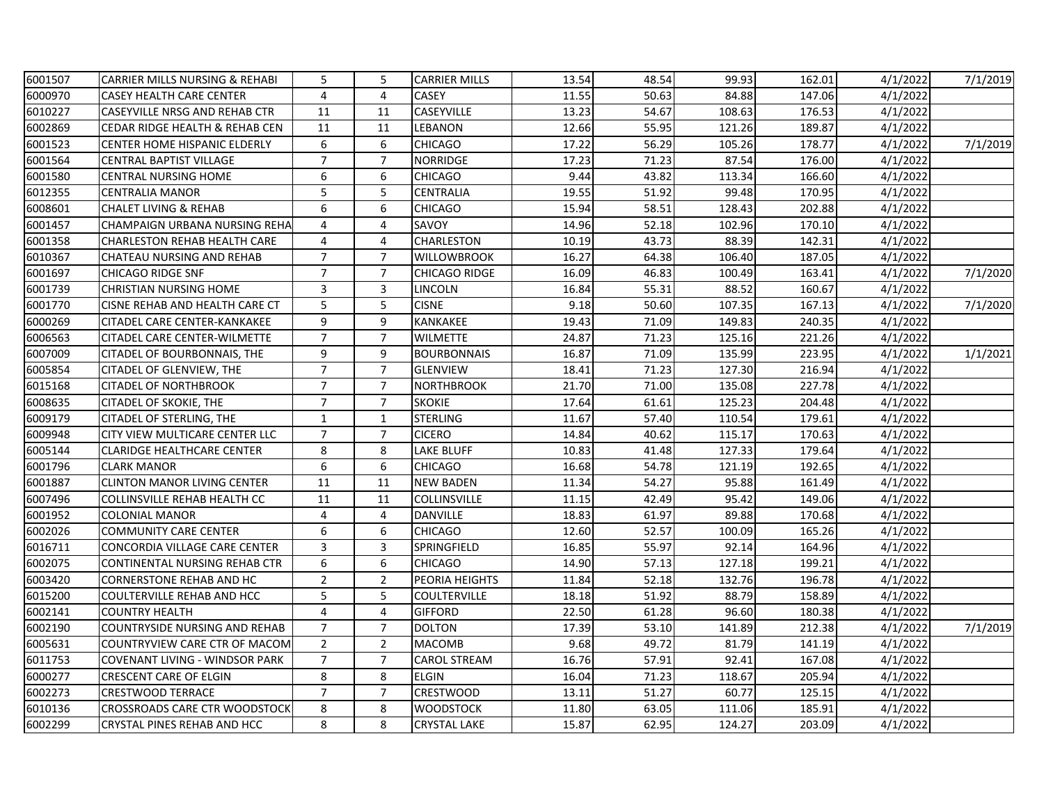| 6001507 | <b>CARRIER MILLS NURSING &amp; REHABI</b> | 5              | 5              | <b>CARRIER MILLS</b> | 13.54 | 48.54 | 99.93  | 162.01 | 4/1/2022 | 7/1/2019 |
|---------|-------------------------------------------|----------------|----------------|----------------------|-------|-------|--------|--------|----------|----------|
| 6000970 | <b>CASEY HEALTH CARE CENTER</b>           | $\overline{4}$ | 4              | <b>CASEY</b>         | 11.55 | 50.63 | 84.88  | 147.06 | 4/1/2022 |          |
| 6010227 | <b>CASEYVILLE NRSG AND REHAB CTR</b>      | 11             | 11             | CASEYVILLE           | 13.23 | 54.67 | 108.63 | 176.53 | 4/1/2022 |          |
| 6002869 | <b>CEDAR RIDGE HEALTH &amp; REHAB CEN</b> | 11             | 11             | LEBANON              | 12.66 | 55.95 | 121.26 | 189.87 | 4/1/2022 |          |
| 6001523 | CENTER HOME HISPANIC ELDERLY              | 6              | 6              | CHICAGO              | 17.22 | 56.29 | 105.26 | 178.77 | 4/1/2022 | 7/1/2019 |
| 6001564 | <b>CENTRAL BAPTIST VILLAGE</b>            | $\overline{7}$ | $\overline{7}$ | <b>NORRIDGE</b>      | 17.23 | 71.23 | 87.54  | 176.00 | 4/1/2022 |          |
| 6001580 | <b>CENTRAL NURSING HOME</b>               | 6              | 6              | <b>CHICAGO</b>       | 9.44  | 43.82 | 113.34 | 166.60 | 4/1/2022 |          |
| 6012355 | <b>CENTRALIA MANOR</b>                    | 5              | 5              | <b>CENTRALIA</b>     | 19.55 | 51.92 | 99.48  | 170.95 | 4/1/2022 |          |
| 6008601 | <b>CHALET LIVING &amp; REHAB</b>          | 6              | 6              | <b>CHICAGO</b>       | 15.94 | 58.51 | 128.43 | 202.88 | 4/1/2022 |          |
| 6001457 | CHAMPAIGN URBANA NURSING REHA             | 4              | 4              | SAVOY                | 14.96 | 52.18 | 102.96 | 170.10 | 4/1/2022 |          |
| 6001358 | <b>CHARLESTON REHAB HEALTH CARE</b>       | 4              | 4              | CHARLESTON           | 10.19 | 43.73 | 88.39  | 142.31 | 4/1/2022 |          |
| 6010367 | CHATEAU NURSING AND REHAB                 | $\overline{7}$ | $\overline{7}$ | <b>WILLOWBROOK</b>   | 16.27 | 64.38 | 106.40 | 187.05 | 4/1/2022 |          |
| 6001697 | <b>CHICAGO RIDGE SNF</b>                  | $\overline{7}$ | $\overline{7}$ | CHICAGO RIDGE        | 16.09 | 46.83 | 100.49 | 163.41 | 4/1/2022 | 7/1/2020 |
| 6001739 | <b>CHRISTIAN NURSING HOME</b>             | $\overline{3}$ | 3              | <b>LINCOLN</b>       | 16.84 | 55.31 | 88.52  | 160.67 | 4/1/2022 |          |
| 6001770 | CISNE REHAB AND HEALTH CARE CT            | 5              | 5              | <b>CISNE</b>         | 9.18  | 50.60 | 107.35 | 167.13 | 4/1/2022 | 7/1/2020 |
| 6000269 | <b>CITADEL CARE CENTER-KANKAKEE</b>       | 9              | 9              | KANKAKEE             | 19.43 | 71.09 | 149.83 | 240.35 | 4/1/2022 |          |
| 6006563 | CITADEL CARE CENTER-WILMETTE              | $\overline{7}$ | $\overline{7}$ | <b>WILMETTE</b>      | 24.87 | 71.23 | 125.16 | 221.26 | 4/1/2022 |          |
| 6007009 | CITADEL OF BOURBONNAIS, THE               | 9              | 9              | <b>BOURBONNAIS</b>   | 16.87 | 71.09 | 135.99 | 223.95 | 4/1/2022 | 1/1/2021 |
| 6005854 | <b>CITADEL OF GLENVIEW, THE</b>           | $\overline{7}$ | $\overline{7}$ | <b>GLENVIEW</b>      | 18.41 | 71.23 | 127.30 | 216.94 | 4/1/2022 |          |
| 6015168 | <b>CITADEL OF NORTHBROOK</b>              | $\overline{7}$ | $\overline{7}$ | <b>NORTHBROOK</b>    | 21.70 | 71.00 | 135.08 | 227.78 | 4/1/2022 |          |
| 6008635 | <b>CITADEL OF SKOKIE, THE</b>             | $\overline{7}$ | $\overline{7}$ | <b>SKOKIE</b>        | 17.64 | 61.61 | 125.23 | 204.48 | 4/1/2022 |          |
| 6009179 | CITADEL OF STERLING, THE                  | $\mathbf{1}$   | $\mathbf{1}$   | <b>STERLING</b>      | 11.67 | 57.40 | 110.54 | 179.61 | 4/1/2022 |          |
| 6009948 | CITY VIEW MULTICARE CENTER LLC            | $\overline{7}$ | $\overline{7}$ | <b>CICERO</b>        | 14.84 | 40.62 | 115.17 | 170.63 | 4/1/2022 |          |
| 6005144 | <b>CLARIDGE HEALTHCARE CENTER</b>         | 8              | 8              | <b>LAKE BLUFF</b>    | 10.83 | 41.48 | 127.33 | 179.64 | 4/1/2022 |          |
| 6001796 | <b>CLARK MANOR</b>                        | 6              | 6              | <b>CHICAGO</b>       | 16.68 | 54.78 | 121.19 | 192.65 | 4/1/2022 |          |
| 6001887 | <b>CLINTON MANOR LIVING CENTER</b>        | 11             | 11             | <b>NEW BADEN</b>     | 11.34 | 54.27 | 95.88  | 161.49 | 4/1/2022 |          |
| 6007496 | COLLINSVILLE REHAB HEALTH CC              | 11             | 11             | <b>COLLINSVILLE</b>  | 11.15 | 42.49 | 95.42  | 149.06 | 4/1/2022 |          |
| 6001952 | COLONIAL MANOR                            | 4              | 4              | DANVILLE             | 18.83 | 61.97 | 89.88  | 170.68 | 4/1/2022 |          |
| 6002026 | <b>COMMUNITY CARE CENTER</b>              | 6              | 6              | <b>CHICAGO</b>       | 12.60 | 52.57 | 100.09 | 165.26 | 4/1/2022 |          |
| 6016711 | CONCORDIA VILLAGE CARE CENTER             | 3              | 3              | SPRINGFIELD          | 16.85 | 55.97 | 92.14  | 164.96 | 4/1/2022 |          |
| 6002075 | CONTINENTAL NURSING REHAB CTR             | 6              | 6              | <b>CHICAGO</b>       | 14.90 | 57.13 | 127.18 | 199.21 | 4/1/2022 |          |
| 6003420 | <b>CORNERSTONE REHAB AND HC</b>           | $\overline{2}$ | $\overline{2}$ | PEORIA HEIGHTS       | 11.84 | 52.18 | 132.76 | 196.78 | 4/1/2022 |          |
| 6015200 | <b>COULTERVILLE REHAB AND HCC</b>         | 5              | 5              | COULTERVILLE         | 18.18 | 51.92 | 88.79  | 158.89 | 4/1/2022 |          |
| 6002141 | <b>COUNTRY HEALTH</b>                     | 4              | 4              | <b>GIFFORD</b>       | 22.50 | 61.28 | 96.60  | 180.38 | 4/1/2022 |          |
| 6002190 | <b>COUNTRYSIDE NURSING AND REHAB</b>      | $\overline{7}$ | $\overline{7}$ | <b>DOLTON</b>        | 17.39 | 53.10 | 141.89 | 212.38 | 4/1/2022 | 7/1/2019 |
| 6005631 | COUNTRYVIEW CARE CTR OF MACOM             | $\overline{2}$ | $\overline{2}$ | <b>MACOMB</b>        | 9.68  | 49.72 | 81.79  | 141.19 | 4/1/2022 |          |
| 6011753 | <b>COVENANT LIVING - WINDSOR PARK</b>     | $\overline{7}$ | $\overline{7}$ | <b>CAROL STREAM</b>  | 16.76 | 57.91 | 92.41  | 167.08 | 4/1/2022 |          |
| 6000277 | <b>CRESCENT CARE OF ELGIN</b>             | 8              | 8              | <b>ELGIN</b>         | 16.04 | 71.23 | 118.67 | 205.94 | 4/1/2022 |          |
| 6002273 | <b>CRESTWOOD TERRACE</b>                  | $\overline{7}$ | $\overline{7}$ | CRESTWOOD            | 13.11 | 51.27 | 60.77  | 125.15 | 4/1/2022 |          |
| 6010136 | <b>CROSSROADS CARE CTR WOODSTOCK</b>      | 8              | 8              | <b>WOODSTOCK</b>     | 11.80 | 63.05 | 111.06 | 185.91 | 4/1/2022 |          |
| 6002299 | <b>CRYSTAL PINES REHAB AND HCC</b>        | 8              | 8              | <b>CRYSTAL LAKE</b>  | 15.87 | 62.95 | 124.27 | 203.09 | 4/1/2022 |          |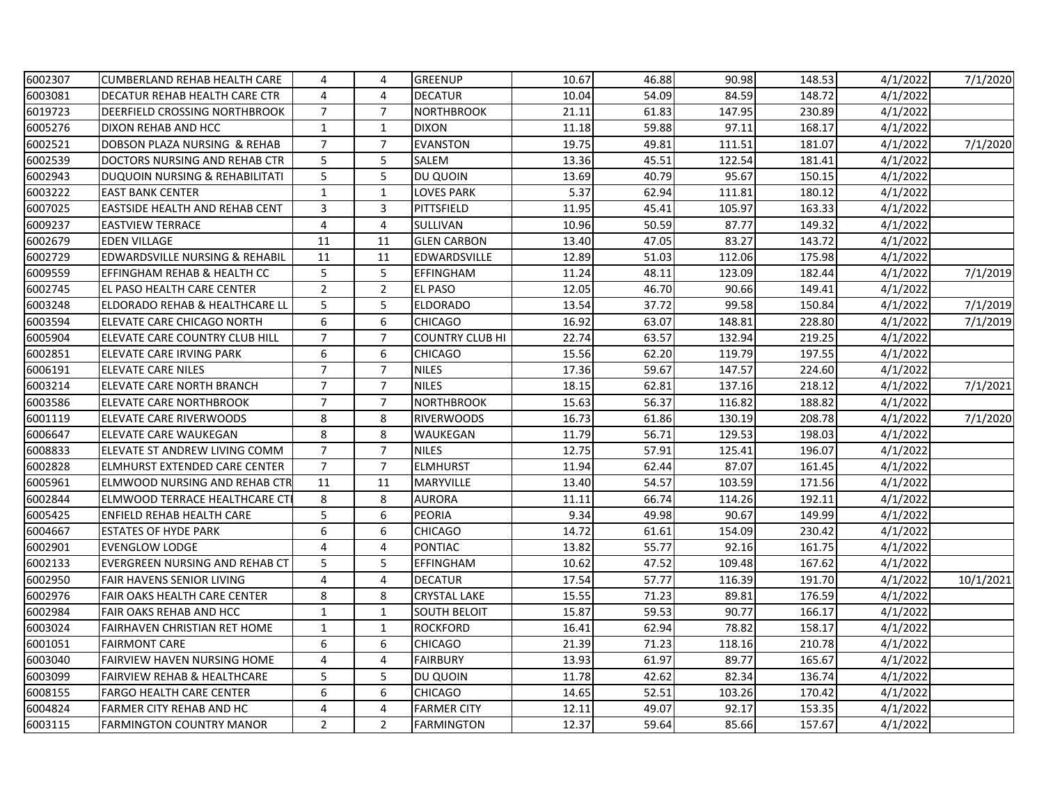| 6002307 | <b>CUMBERLAND REHAB HEALTH CARE</b>    | 4                | 4              | <b>GREENUP</b>         | 10.67 | 46.88 | 90.98  | 148.53 | 4/1/2022 | 7/1/2020              |
|---------|----------------------------------------|------------------|----------------|------------------------|-------|-------|--------|--------|----------|-----------------------|
| 6003081 | DECATUR REHAB HEALTH CARE CTR          | 4                | 4              | <b>DECATUR</b>         | 10.04 | 54.09 | 84.59  | 148.72 | 4/1/2022 |                       |
| 6019723 | <b>DEERFIELD CROSSING NORTHBROOK</b>   | $\overline{7}$   | $\overline{7}$ | <b>NORTHBROOK</b>      | 21.11 | 61.83 | 147.95 | 230.89 | 4/1/2022 |                       |
| 6005276 | DIXON REHAB AND HCC                    | $\mathbf{1}$     | $\mathbf{1}$   | <b>DIXON</b>           | 11.18 | 59.88 | 97.11  | 168.17 | 4/1/2022 |                       |
| 6002521 | DOBSON PLAZA NURSING & REHAB           | $\overline{7}$   | $\overline{7}$ | <b>EVANSTON</b>        | 19.75 | 49.81 | 111.51 | 181.07 | 4/1/2022 | 7/1/2020              |
| 6002539 | DOCTORS NURSING AND REHAB CTR          | 5                | 5              | SALEM                  | 13.36 | 45.51 | 122.54 | 181.41 | 4/1/2022 |                       |
| 6002943 | DUQUOIN NURSING & REHABILITATI         | 5                | 5              | DU QUOIN               | 13.69 | 40.79 | 95.67  | 150.15 | 4/1/2022 |                       |
| 6003222 | <b>EAST BANK CENTER</b>                | $\mathbf{1}$     | $\mathbf{1}$   | <b>LOVES PARK</b>      | 5.37  | 62.94 | 111.81 | 180.12 | 4/1/2022 |                       |
| 6007025 | <b>EASTSIDE HEALTH AND REHAB CENT</b>  | 3                | 3              | PITTSFIELD             | 11.95 | 45.41 | 105.97 | 163.33 | 4/1/2022 |                       |
| 6009237 | <b>EASTVIEW TERRACE</b>                | 4                | 4              | SULLIVAN               | 10.96 | 50.59 | 87.77  | 149.32 | 4/1/2022 |                       |
| 6002679 | <b>EDEN VILLAGE</b>                    | 11               | 11             | <b>GLEN CARBON</b>     | 13.40 | 47.05 | 83.27  | 143.72 | 4/1/2022 |                       |
| 6002729 | EDWARDSVILLE NURSING & REHABIL         | 11               | 11             | EDWARDSVILLE           | 12.89 | 51.03 | 112.06 | 175.98 | 4/1/2022 |                       |
| 6009559 | EFFINGHAM REHAB & HEALTH CC            | 5                | 5              | <b>EFFINGHAM</b>       | 11.24 | 48.11 | 123.09 | 182.44 | 4/1/2022 | 7/1/2019              |
| 6002745 | EL PASO HEALTH CARE CENTER             | $\overline{2}$   | $\overline{2}$ | <b>EL PASO</b>         | 12.05 | 46.70 | 90.66  | 149.41 | 4/1/2022 |                       |
| 6003248 | ELDORADO REHAB & HEALTHCARE LL         | 5                | 5              | <b>ELDORADO</b>        | 13.54 | 37.72 | 99.58  | 150.84 | 4/1/2022 | $\frac{1}{7}{1/2019}$ |
| 6003594 | ELEVATE CARE CHICAGO NORTH             | 6                | 6              | <b>CHICAGO</b>         | 16.92 | 63.07 | 148.81 | 228.80 | 4/1/2022 | 7/1/2019              |
| 6005904 | ELEVATE CARE COUNTRY CLUB HILL         | $\overline{7}$   | $\overline{7}$ | <b>COUNTRY CLUB HI</b> | 22.74 | 63.57 | 132.94 | 219.25 | 4/1/2022 |                       |
| 6002851 | <b>ELEVATE CARE IRVING PARK</b>        | $\boldsymbol{6}$ | 6              | <b>CHICAGO</b>         | 15.56 | 62.20 | 119.79 | 197.55 | 4/1/2022 |                       |
| 6006191 | <b>ELEVATE CARE NILES</b>              | $\overline{7}$   | $\overline{7}$ | <b>NILES</b>           | 17.36 | 59.67 | 147.57 | 224.60 | 4/1/2022 |                       |
| 6003214 | ELEVATE CARE NORTH BRANCH              | $\overline{7}$   | $\overline{7}$ | <b>NILES</b>           | 18.15 | 62.81 | 137.16 | 218.12 | 4/1/2022 | 7/1/2021              |
| 6003586 | <b>ELEVATE CARE NORTHBROOK</b>         | $\overline{7}$   | $\overline{7}$ | <b>NORTHBROOK</b>      | 15.63 | 56.37 | 116.82 | 188.82 | 4/1/2022 |                       |
| 6001119 | <b>ELEVATE CARE RIVERWOODS</b>         | 8                | 8              | <b>RIVERWOODS</b>      | 16.73 | 61.86 | 130.19 | 208.78 | 4/1/2022 | 7/1/2020              |
| 6006647 | ELEVATE CARE WAUKEGAN                  | 8                | 8              | WAUKEGAN               | 11.79 | 56.71 | 129.53 | 198.03 | 4/1/2022 |                       |
| 6008833 | ELEVATE ST ANDREW LIVING COMM          | $\overline{7}$   | $\overline{7}$ | <b>NILES</b>           | 12.75 | 57.91 | 125.41 | 196.07 | 4/1/2022 |                       |
| 6002828 | <b>ELMHURST EXTENDED CARE CENTER</b>   | $\overline{7}$   | $\overline{7}$ | <b>ELMHURST</b>        | 11.94 | 62.44 | 87.07  | 161.45 | 4/1/2022 |                       |
| 6005961 | ELMWOOD NURSING AND REHAB CTR          | 11               | 11             | <b>MARYVILLE</b>       | 13.40 | 54.57 | 103.59 | 171.56 | 4/1/2022 |                       |
| 6002844 | <b>ELMWOOD TERRACE HEALTHCARE CT</b>   | 8                | 8              | <b>AURORA</b>          | 11.11 | 66.74 | 114.26 | 192.11 | 4/1/2022 |                       |
| 6005425 | <b>ENFIELD REHAB HEALTH CARE</b>       | 5                | 6              | PEORIA                 | 9.34  | 49.98 | 90.67  | 149.99 | 4/1/2022 |                       |
| 6004667 | <b>ESTATES OF HYDE PARK</b>            | 6                | 6              | <b>CHICAGO</b>         | 14.72 | 61.61 | 154.09 | 230.42 | 4/1/2022 |                       |
| 6002901 | <b>EVENGLOW LODGE</b>                  | $\overline{4}$   | 4              | <b>PONTIAC</b>         | 13.82 | 55.77 | 92.16  | 161.75 | 4/1/2022 |                       |
| 6002133 | <b>EVERGREEN NURSING AND REHAB CT</b>  | 5                | 5              | <b>EFFINGHAM</b>       | 10.62 | 47.52 | 109.48 | 167.62 | 4/1/2022 |                       |
| 6002950 | <b>FAIR HAVENS SENIOR LIVING</b>       | 4                | 4              | <b>DECATUR</b>         | 17.54 | 57.77 | 116.39 | 191.70 | 4/1/2022 | 10/1/2021             |
| 6002976 | <b>FAIR OAKS HEALTH CARE CENTER</b>    | $\,8\,$          | 8              | CRYSTAL LAKE           | 15.55 | 71.23 | 89.81  | 176.59 | 4/1/2022 |                       |
| 6002984 | <b>FAIR OAKS REHAB AND HCC</b>         | $\mathbf{1}$     | $\mathbf{1}$   | <b>SOUTH BELOIT</b>    | 15.87 | 59.53 | 90.77  | 166.17 | 4/1/2022 |                       |
| 6003024 | <b>FAIRHAVEN CHRISTIAN RET HOME</b>    | $\mathbf{1}$     | $\mathbf{1}$   | <b>ROCKFORD</b>        | 16.41 | 62.94 | 78.82  | 158.17 | 4/1/2022 |                       |
| 6001051 | <b>FAIRMONT CARE</b>                   | 6                | 6              | <b>CHICAGO</b>         | 21.39 | 71.23 | 118.16 | 210.78 | 4/1/2022 |                       |
| 6003040 | <b>FAIRVIEW HAVEN NURSING HOME</b>     | 4                | 4              | <b>FAIRBURY</b>        | 13.93 | 61.97 | 89.77  | 165.67 | 4/1/2022 |                       |
| 6003099 | <b>FAIRVIEW REHAB &amp; HEALTHCARE</b> | 5                | 5              | DU QUOIN               | 11.78 | 42.62 | 82.34  | 136.74 | 4/1/2022 |                       |
| 6008155 | <b>FARGO HEALTH CARE CENTER</b>        | 6                | 6              | <b>CHICAGO</b>         | 14.65 | 52.51 | 103.26 | 170.42 | 4/1/2022 |                       |
| 6004824 | <b>FARMER CITY REHAB AND HC</b>        | 4                | 4              | <b>FARMER CITY</b>     | 12.11 | 49.07 | 92.17  | 153.35 | 4/1/2022 |                       |
| 6003115 | <b>FARMINGTON COUNTRY MANOR</b>        | $\overline{2}$   | $\overline{2}$ | <b>FARMINGTON</b>      | 12.37 | 59.64 | 85.66  | 157.67 | 4/1/2022 |                       |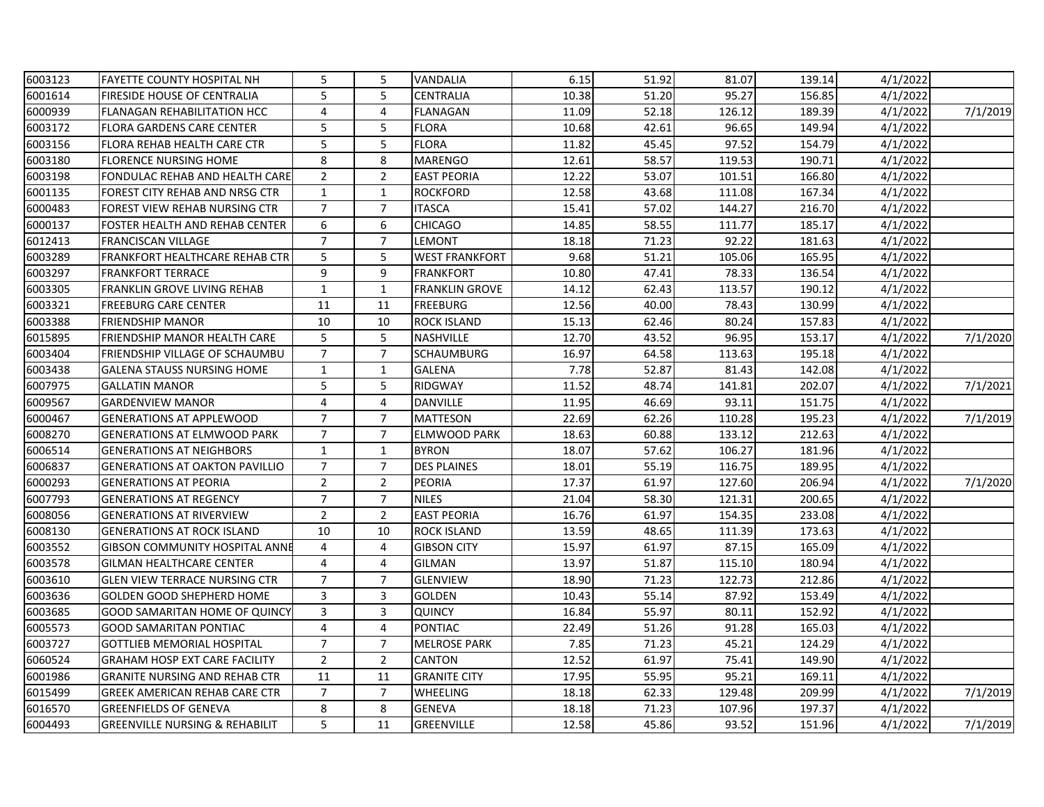| 6003123 | <b>FAYETTE COUNTY HOSPITAL NH</b>         | 5              | 5              | VANDALIA              | 6.15  | 51.92 | 81.07  | 139.14 | 4/1/2022 |          |
|---------|-------------------------------------------|----------------|----------------|-----------------------|-------|-------|--------|--------|----------|----------|
| 6001614 | <b>FIRESIDE HOUSE OF CENTRALIA</b>        | 5              | 5              | CENTRALIA             | 10.38 | 51.20 | 95.27  | 156.85 | 4/1/2022 |          |
| 6000939 | <b>FLANAGAN REHABILITATION HCC</b>        | 4              | 4              | <b>FLANAGAN</b>       | 11.09 | 52.18 | 126.12 | 189.39 | 4/1/2022 | 7/1/2019 |
| 6003172 | <b>FLORA GARDENS CARE CENTER</b>          | 5              | 5              | <b>FLORA</b>          | 10.68 | 42.61 | 96.65  | 149.94 | 4/1/2022 |          |
| 6003156 | FLORA REHAB HEALTH CARE CTR               | 5              | 5              | <b>FLORA</b>          | 11.82 | 45.45 | 97.52  | 154.79 | 4/1/2022 |          |
| 6003180 | <b>FLORENCE NURSING HOME</b>              | 8              | 8              | <b>MARENGO</b>        | 12.61 | 58.57 | 119.53 | 190.71 | 4/1/2022 |          |
| 6003198 | FONDULAC REHAB AND HEALTH CARE            | $\overline{2}$ | $\overline{2}$ | <b>EAST PEORIA</b>    | 12.22 | 53.07 | 101.51 | 166.80 | 4/1/2022 |          |
| 6001135 | FOREST CITY REHAB AND NRSG CTR            | $\mathbf{1}$   | $\mathbf{1}$   | <b>ROCKFORD</b>       | 12.58 | 43.68 | 111.08 | 167.34 | 4/1/2022 |          |
| 6000483 | FOREST VIEW REHAB NURSING CTR             | $\overline{7}$ | $\overline{7}$ | <b>ITASCA</b>         | 15.41 | 57.02 | 144.27 | 216.70 | 4/1/2022 |          |
| 6000137 | FOSTER HEALTH AND REHAB CENTER            | 6              | 6              | <b>CHICAGO</b>        | 14.85 | 58.55 | 111.77 | 185.17 | 4/1/2022 |          |
| 6012413 | <b>FRANCISCAN VILLAGE</b>                 | $\overline{7}$ | $\overline{7}$ | LEMONT                | 18.18 | 71.23 | 92.22  | 181.63 | 4/1/2022 |          |
| 6003289 | FRANKFORT HEALTHCARE REHAB CTR            | 5              | 5              | <b>WEST FRANKFORT</b> | 9.68  | 51.21 | 105.06 | 165.95 | 4/1/2022 |          |
| 6003297 | <b>FRANKFORT TERRACE</b>                  | 9              | 9              | <b>FRANKFORT</b>      | 10.80 | 47.41 | 78.33  | 136.54 | 4/1/2022 |          |
| 6003305 | <b>FRANKLIN GROVE LIVING REHAB</b>        | $\mathbf{1}$   | $\mathbf{1}$   | <b>FRANKLIN GROVE</b> | 14.12 | 62.43 | 113.57 | 190.12 | 4/1/2022 |          |
| 6003321 | <b>FREEBURG CARE CENTER</b>               | 11             | 11             | <b>FREEBURG</b>       | 12.56 | 40.00 | 78.43  | 130.99 | 4/1/2022 |          |
| 6003388 | <b>FRIENDSHIP MANOR</b>                   | $10\,$         | 10             | ROCK ISLAND           | 15.13 | 62.46 | 80.24  | 157.83 | 4/1/2022 |          |
| 6015895 | FRIENDSHIP MANOR HEALTH CARE              | 5              | 5              | NASHVILLE             | 12.70 | 43.52 | 96.95  | 153.17 | 4/1/2022 | 7/1/2020 |
| 6003404 | FRIENDSHIP VILLAGE OF SCHAUMBU            | $\overline{7}$ | $\overline{7}$ | <b>SCHAUMBURG</b>     | 16.97 | 64.58 | 113.63 | 195.18 | 4/1/2022 |          |
| 6003438 | <b>GALENA STAUSS NURSING HOME</b>         | $\mathbf{1}$   | $\mathbf{1}$   | <b>GALENA</b>         | 7.78  | 52.87 | 81.43  | 142.08 | 4/1/2022 |          |
| 6007975 | <b>GALLATIN MANOR</b>                     | 5              | 5              | <b>RIDGWAY</b>        | 11.52 | 48.74 | 141.81 | 202.07 | 4/1/2022 | 7/1/2021 |
| 6009567 | <b>GARDENVIEW MANOR</b>                   | 4              | 4              | DANVILLE              | 11.95 | 46.69 | 93.11  | 151.75 | 4/1/2022 |          |
| 6000467 | <b>GENERATIONS AT APPLEWOOD</b>           | $\overline{7}$ | $\overline{7}$ | <b>MATTESON</b>       | 22.69 | 62.26 | 110.28 | 195.23 | 4/1/2022 | 7/1/2019 |
| 6008270 | <b>GENERATIONS AT ELMWOOD PARK</b>        | $\overline{7}$ | $\overline{7}$ | <b>ELMWOOD PARK</b>   | 18.63 | 60.88 | 133.12 | 212.63 | 4/1/2022 |          |
| 6006514 | <b>GENERATIONS AT NEIGHBORS</b>           | $\mathbf{1}$   | $\mathbf{1}$   | <b>BYRON</b>          | 18.07 | 57.62 | 106.27 | 181.96 | 4/1/2022 |          |
| 6006837 | <b>GENERATIONS AT OAKTON PAVILLIO</b>     | $\overline{7}$ | $\overline{7}$ | <b>DES PLAINES</b>    | 18.01 | 55.19 | 116.75 | 189.95 | 4/1/2022 |          |
| 6000293 | <b>GENERATIONS AT PEORIA</b>              | $\overline{2}$ | $\overline{2}$ | <b>PEORIA</b>         | 17.37 | 61.97 | 127.60 | 206.94 | 4/1/2022 | 7/1/2020 |
| 6007793 | <b>GENERATIONS AT REGENCY</b>             | $\overline{7}$ | $\overline{7}$ | <b>NILES</b>          | 21.04 | 58.30 | 121.31 | 200.65 | 4/1/2022 |          |
| 6008056 | <b>GENERATIONS AT RIVERVIEW</b>           | $\overline{2}$ | $\overline{2}$ | <b>EAST PEORIA</b>    | 16.76 | 61.97 | 154.35 | 233.08 | 4/1/2022 |          |
| 6008130 | <b>GENERATIONS AT ROCK ISLAND</b>         | 10             | 10             | ROCK ISLAND           | 13.59 | 48.65 | 111.39 | 173.63 | 4/1/2022 |          |
| 6003552 | <b>GIBSON COMMUNITY HOSPITAL ANNE</b>     | $\overline{4}$ | 4              | <b>GIBSON CITY</b>    | 15.97 | 61.97 | 87.15  | 165.09 | 4/1/2022 |          |
| 6003578 | <b>GILMAN HEALTHCARE CENTER</b>           | 4              | 4              | <b>GILMAN</b>         | 13.97 | 51.87 | 115.10 | 180.94 | 4/1/2022 |          |
| 6003610 | <b>GLEN VIEW TERRACE NURSING CTR</b>      | $\overline{7}$ | $\overline{7}$ | <b>GLENVIEW</b>       | 18.90 | 71.23 | 122.73 | 212.86 | 4/1/2022 |          |
| 6003636 | <b>GOLDEN GOOD SHEPHERD HOME</b>          | 3              | 3              | <b>GOLDEN</b>         | 10.43 | 55.14 | 87.92  | 153.49 | 4/1/2022 |          |
| 6003685 | GOOD SAMARITAN HOME OF QUINCY             | 3              | 3              | <b>QUINCY</b>         | 16.84 | 55.97 | 80.11  | 152.92 | 4/1/2022 |          |
| 6005573 | <b>GOOD SAMARITAN PONTIAC</b>             | $\overline{4}$ | 4              | <b>PONTIAC</b>        | 22.49 | 51.26 | 91.28  | 165.03 | 4/1/2022 |          |
| 6003727 | <b>GOTTLIEB MEMORIAL HOSPITAL</b>         | $\overline{7}$ | $\overline{7}$ | <b>MELROSE PARK</b>   | 7.85  | 71.23 | 45.21  | 124.29 | 4/1/2022 |          |
| 6060524 | <b>GRAHAM HOSP EXT CARE FACILITY</b>      | $\overline{2}$ | $\overline{2}$ | <b>CANTON</b>         | 12.52 | 61.97 | 75.41  | 149.90 | 4/1/2022 |          |
| 6001986 | <b>GRANITE NURSING AND REHAB CTR</b>      | 11             | 11             | <b>GRANITE CITY</b>   | 17.95 | 55.95 | 95.21  | 169.11 | 4/1/2022 |          |
| 6015499 | <b>GREEK AMERICAN REHAB CARE CTR</b>      | $\overline{7}$ | $\overline{7}$ | <b>WHEELING</b>       | 18.18 | 62.33 | 129.48 | 209.99 | 4/1/2022 | 7/1/2019 |
| 6016570 | <b>GREENFIELDS OF GENEVA</b>              | 8              | 8              | <b>GENEVA</b>         | 18.18 | 71.23 | 107.96 | 197.37 | 4/1/2022 |          |
| 6004493 | <b>GREENVILLE NURSING &amp; REHABILIT</b> | 5              | 11             | GREENVILLE            | 12.58 | 45.86 | 93.52  | 151.96 | 4/1/2022 | 7/1/2019 |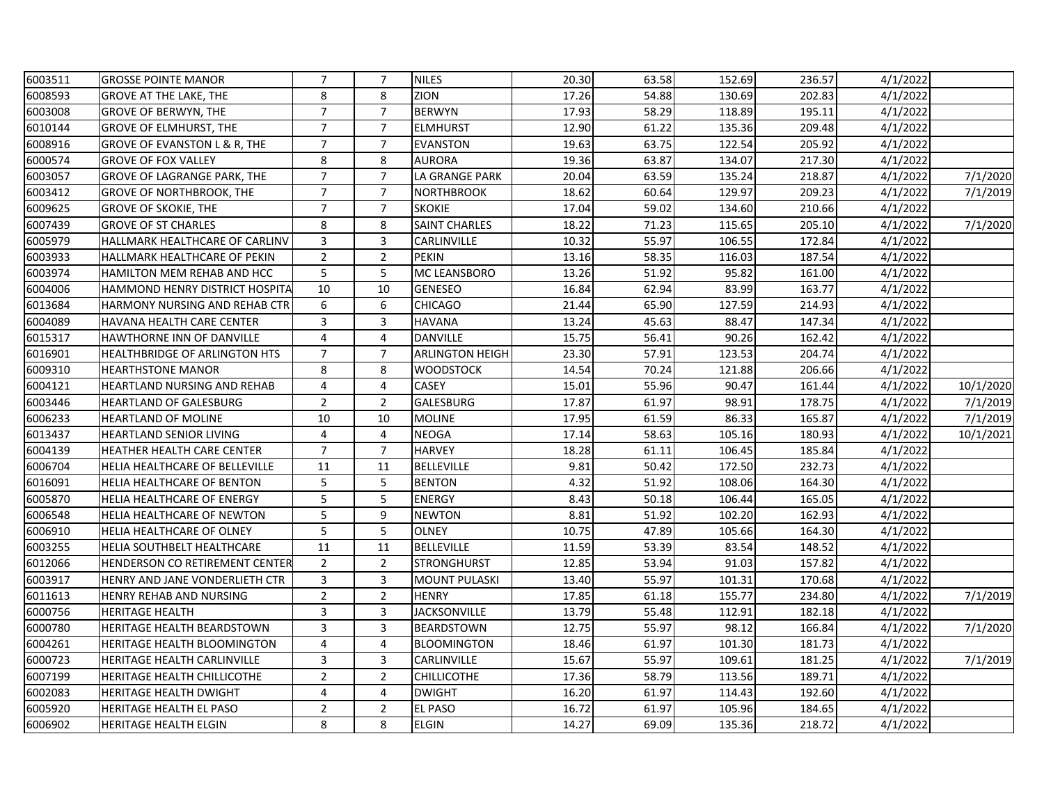| 6003511 | <b>GROSSE POINTE MANOR</b>            | $\overline{7}$ | $\overline{7}$ | <b>NILES</b>           | 20.30 | 63.58 | 152.69 | 236.57 | 4/1/2022 |           |
|---------|---------------------------------------|----------------|----------------|------------------------|-------|-------|--------|--------|----------|-----------|
| 6008593 | <b>GROVE AT THE LAKE, THE</b>         | 8              | 8              | <b>ZION</b>            | 17.26 | 54.88 | 130.69 | 202.83 | 4/1/2022 |           |
| 6003008 | <b>GROVE OF BERWYN, THE</b>           | $\overline{7}$ | $\overline{7}$ | <b>BERWYN</b>          | 17.93 | 58.29 | 118.89 | 195.11 | 4/1/2022 |           |
| 6010144 | <b>GROVE OF ELMHURST, THE</b>         | $\overline{7}$ | $\overline{7}$ | <b>ELMHURST</b>        | 12.90 | 61.22 | 135.36 | 209.48 | 4/1/2022 |           |
| 6008916 | GROVE OF EVANSTON L & R, THE          | $\overline{7}$ | $\overline{7}$ | <b>EVANSTON</b>        | 19.63 | 63.75 | 122.54 | 205.92 | 4/1/2022 |           |
| 6000574 | <b>GROVE OF FOX VALLEY</b>            | 8              | 8              | <b>AURORA</b>          | 19.36 | 63.87 | 134.07 | 217.30 | 4/1/2022 |           |
| 6003057 | GROVE OF LAGRANGE PARK, THE           | $\overline{7}$ | $\overline{7}$ | LA GRANGE PARK         | 20.04 | 63.59 | 135.24 | 218.87 | 4/1/2022 | 7/1/2020  |
| 6003412 | <b>GROVE OF NORTHBROOK, THE</b>       | $\overline{7}$ | $\overline{7}$ | <b>NORTHBROOK</b>      | 18.62 | 60.64 | 129.97 | 209.23 | 4/1/2022 | 7/1/2019  |
| 6009625 | <b>GROVE OF SKOKIE, THE</b>           | $\overline{7}$ | $\overline{7}$ | <b>SKOKIE</b>          | 17.04 | 59.02 | 134.60 | 210.66 | 4/1/2022 |           |
| 6007439 | <b>GROVE OF ST CHARLES</b>            | 8              | 8              | <b>SAINT CHARLES</b>   | 18.22 | 71.23 | 115.65 | 205.10 | 4/1/2022 | 7/1/2020  |
| 6005979 | HALLMARK HEALTHCARE OF CARLINV        | $\overline{3}$ | 3              | CARLINVILLE            | 10.32 | 55.97 | 106.55 | 172.84 | 4/1/2022 |           |
| 6003933 | HALLMARK HEALTHCARE OF PEKIN          | $\overline{2}$ | $\overline{2}$ | <b>PEKIN</b>           | 13.16 | 58.35 | 116.03 | 187.54 | 4/1/2022 |           |
| 6003974 | HAMILTON MEM REHAB AND HCC            | 5              | 5              | MC LEANSBORO           | 13.26 | 51.92 | 95.82  | 161.00 | 4/1/2022 |           |
| 6004006 | <b>HAMMOND HENRY DISTRICT HOSPITA</b> | 10             | 10             | <b>GENESEO</b>         | 16.84 | 62.94 | 83.99  | 163.77 | 4/1/2022 |           |
| 6013684 | HARMONY NURSING AND REHAB CTR         | 6              | 6              | <b>CHICAGO</b>         | 21.44 | 65.90 | 127.59 | 214.93 | 4/1/2022 |           |
| 6004089 | HAVANA HEALTH CARE CENTER             | 3              | 3              | <b>HAVANA</b>          | 13.24 | 45.63 | 88.47  | 147.34 | 4/1/2022 |           |
| 6015317 | HAWTHORNE INN OF DANVILLE             | $\overline{4}$ | $\overline{4}$ | <b>DANVILLE</b>        | 15.75 | 56.41 | 90.26  | 162.42 | 4/1/2022 |           |
| 6016901 | <b>HEALTHBRIDGE OF ARLINGTON HTS</b>  | $\overline{7}$ | $\overline{7}$ | <b>ARLINGTON HEIGH</b> | 23.30 | 57.91 | 123.53 | 204.74 | 4/1/2022 |           |
| 6009310 | <b>HEARTHSTONE MANOR</b>              | 8              | 8              | <b>WOODSTOCK</b>       | 14.54 | 70.24 | 121.88 | 206.66 | 4/1/2022 |           |
| 6004121 | <b>HEARTLAND NURSING AND REHAB</b>    | 4              | 4              | <b>CASEY</b>           | 15.01 | 55.96 | 90.47  | 161.44 | 4/1/2022 | 10/1/2020 |
| 6003446 | <b>HEARTLAND OF GALESBURG</b>         | $\overline{2}$ | $\overline{2}$ | <b>GALESBURG</b>       | 17.87 | 61.97 | 98.91  | 178.75 | 4/1/2022 | 7/1/2019  |
| 6006233 | <b>HEARTLAND OF MOLINE</b>            | 10             | 10             | <b>MOLINE</b>          | 17.95 | 61.59 | 86.33  | 165.87 | 4/1/2022 | 7/1/2019  |
| 6013437 | <b>HEARTLAND SENIOR LIVING</b>        | $\overline{4}$ | $\overline{4}$ | <b>NEOGA</b>           | 17.14 | 58.63 | 105.16 | 180.93 | 4/1/2022 | 10/1/2021 |
| 6004139 | <b>HEATHER HEALTH CARE CENTER</b>     | $\overline{7}$ | $\overline{7}$ | <b>HARVEY</b>          | 18.28 | 61.11 | 106.45 | 185.84 | 4/1/2022 |           |
| 6006704 | HELIA HEALTHCARE OF BELLEVILLE        | 11             | 11             | <b>BELLEVILLE</b>      | 9.81  | 50.42 | 172.50 | 232.73 | 4/1/2022 |           |
| 6016091 | <b>HELIA HEALTHCARE OF BENTON</b>     | 5              | 5              | <b>BENTON</b>          | 4.32  | 51.92 | 108.06 | 164.30 | 4/1/2022 |           |
| 6005870 | HELIA HEALTHCARE OF ENERGY            | 5              | 5              | <b>ENERGY</b>          | 8.43  | 50.18 | 106.44 | 165.05 | 4/1/2022 |           |
| 6006548 | <b>HELIA HEALTHCARE OF NEWTON</b>     | 5              | 9              | <b>NEWTON</b>          | 8.81  | 51.92 | 102.20 | 162.93 | 4/1/2022 |           |
| 6006910 | <b>HELIA HEALTHCARE OF OLNEY</b>      | 5              | 5              | <b>OLNEY</b>           | 10.75 | 47.89 | 105.66 | 164.30 | 4/1/2022 |           |
| 6003255 | <b>HELIA SOUTHBELT HEALTHCARE</b>     | 11             | 11             | <b>BELLEVILLE</b>      | 11.59 | 53.39 | 83.54  | 148.52 | 4/1/2022 |           |
| 6012066 | HENDERSON CO RETIREMENT CENTER        | $\overline{2}$ | $\overline{2}$ | <b>STRONGHURST</b>     | 12.85 | 53.94 | 91.03  | 157.82 | 4/1/2022 |           |
| 6003917 | HENRY AND JANE VONDERLIETH CTR        | 3              | 3              | <b>MOUNT PULASKI</b>   | 13.40 | 55.97 | 101.31 | 170.68 | 4/1/2022 |           |
| 6011613 | <b>HENRY REHAB AND NURSING</b>        | $\overline{2}$ | $\overline{2}$ | <b>HENRY</b>           | 17.85 | 61.18 | 155.77 | 234.80 | 4/1/2022 | 7/1/2019  |
| 6000756 | <b>HERITAGE HEALTH</b>                | 3              | 3              | <b>JACKSONVILLE</b>    | 13.79 | 55.48 | 112.91 | 182.18 | 4/1/2022 |           |
| 6000780 | <b>HERITAGE HEALTH BEARDSTOWN</b>     | 3              | 3              | <b>BEARDSTOWN</b>      | 12.75 | 55.97 | 98.12  | 166.84 | 4/1/2022 | 7/1/2020  |
| 6004261 | <b>HERITAGE HEALTH BLOOMINGTON</b>    | 4              | 4              | <b>BLOOMINGTON</b>     | 18.46 | 61.97 | 101.30 | 181.73 | 4/1/2022 |           |
| 6000723 | <b>HERITAGE HEALTH CARLINVILLE</b>    | 3              | 3              | CARLINVILLE            | 15.67 | 55.97 | 109.61 | 181.25 | 4/1/2022 | 7/1/2019  |
| 6007199 | <b>HERITAGE HEALTH CHILLICOTHE</b>    | $\overline{2}$ | $\overline{2}$ | <b>CHILLICOTHE</b>     | 17.36 | 58.79 | 113.56 | 189.71 | 4/1/2022 |           |
| 6002083 | HERITAGE HEALTH DWIGHT                | 4              | $\overline{4}$ | <b>DWIGHT</b>          | 16.20 | 61.97 | 114.43 | 192.60 | 4/1/2022 |           |
| 6005920 | <b>HERITAGE HEALTH EL PASO</b>        | $\overline{2}$ | $\overline{2}$ | EL PASO                | 16.72 | 61.97 | 105.96 | 184.65 | 4/1/2022 |           |
| 6006902 | <b>HERITAGE HEALTH ELGIN</b>          | 8              | 8              | <b>ELGIN</b>           | 14.27 | 69.09 | 135.36 | 218.72 | 4/1/2022 |           |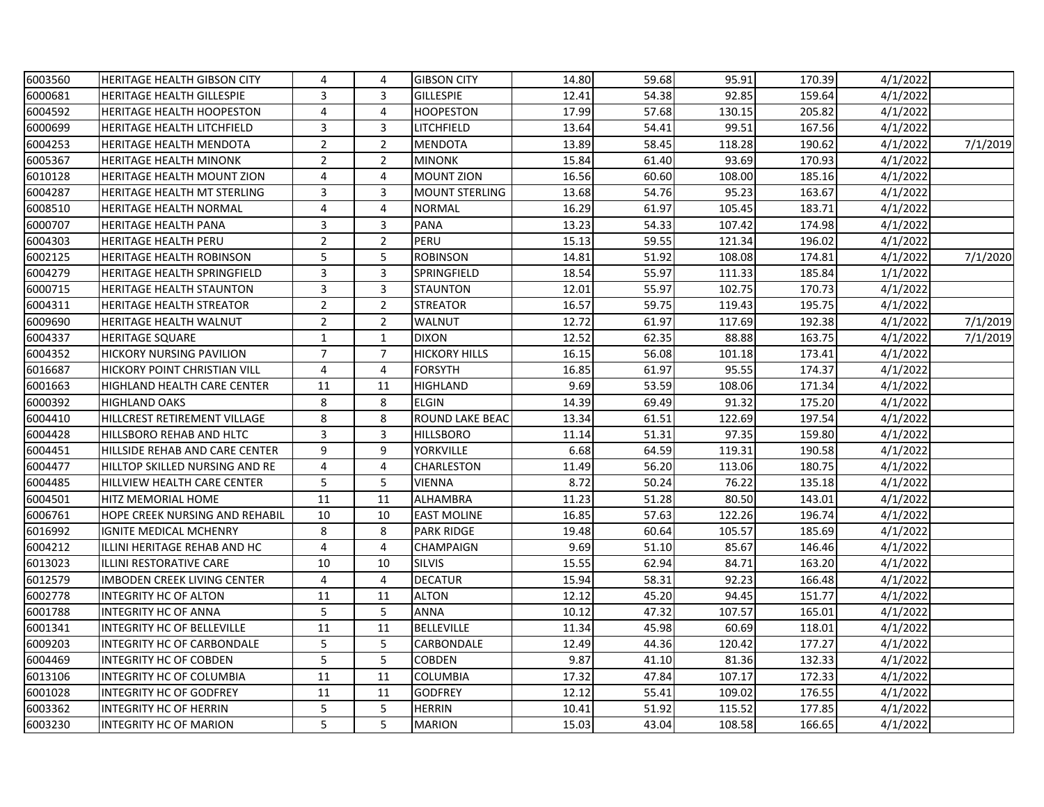| 6003560 | HERITAGE HEALTH GIBSON CITY         | 4              | 4              | <b>GIBSON CITY</b>    | 14.80 | 59.68 | 95.91  | 170.39 | 4/1/2022 |          |
|---------|-------------------------------------|----------------|----------------|-----------------------|-------|-------|--------|--------|----------|----------|
| 6000681 | <b>HERITAGE HEALTH GILLESPIE</b>    | 3              | 3              | <b>GILLESPIE</b>      | 12.41 | 54.38 | 92.85  | 159.64 | 4/1/2022 |          |
| 6004592 | <b>HERITAGE HEALTH HOOPESTON</b>    | $\overline{4}$ | 4              | <b>HOOPESTON</b>      | 17.99 | 57.68 | 130.15 | 205.82 | 4/1/2022 |          |
| 6000699 | HERITAGE HEALTH LITCHFIELD          | 3              | 3              | LITCHFIELD            | 13.64 | 54.41 | 99.51  | 167.56 | 4/1/2022 |          |
| 6004253 | HERITAGE HEALTH MENDOTA             | $\overline{2}$ | $\overline{2}$ | <b>MENDOTA</b>        | 13.89 | 58.45 | 118.28 | 190.62 | 4/1/2022 | 7/1/2019 |
| 6005367 | <b>HERITAGE HEALTH MINONK</b>       | $\overline{2}$ | $\overline{2}$ | <b>MINONK</b>         | 15.84 | 61.40 | 93.69  | 170.93 | 4/1/2022 |          |
| 6010128 | <b>HERITAGE HEALTH MOUNT ZION</b>   | 4              | 4              | <b>MOUNT ZION</b>     | 16.56 | 60.60 | 108.00 | 185.16 | 4/1/2022 |          |
| 6004287 | HERITAGE HEALTH MT STERLING         | 3              | 3              | <b>MOUNT STERLING</b> | 13.68 | 54.76 | 95.23  | 163.67 | 4/1/2022 |          |
| 6008510 | HERITAGE HEALTH NORMAL              | 4              | 4              | <b>NORMAL</b>         | 16.29 | 61.97 | 105.45 | 183.71 | 4/1/2022 |          |
| 6000707 | <b>HERITAGE HEALTH PANA</b>         | 3              | 3              | PANA                  | 13.23 | 54.33 | 107.42 | 174.98 | 4/1/2022 |          |
| 6004303 | <b>HERITAGE HEALTH PERU</b>         | $\overline{2}$ | $\overline{2}$ | PERU                  | 15.13 | 59.55 | 121.34 | 196.02 | 4/1/2022 |          |
| 6002125 | HERITAGE HEALTH ROBINSON            | 5              | 5              | <b>ROBINSON</b>       | 14.81 | 51.92 | 108.08 | 174.81 | 4/1/2022 | 7/1/2020 |
| 6004279 | <b>HERITAGE HEALTH SPRINGFIELD</b>  | 3              | 3              | SPRINGFIELD           | 18.54 | 55.97 | 111.33 | 185.84 | 1/1/2022 |          |
| 6000715 | <b>HERITAGE HEALTH STAUNTON</b>     | 3              | 3              | <b>STAUNTON</b>       | 12.01 | 55.97 | 102.75 | 170.73 | 4/1/2022 |          |
| 6004311 | <b>HERITAGE HEALTH STREATOR</b>     | $\overline{2}$ | $\overline{2}$ | <b>STREATOR</b>       | 16.57 | 59.75 | 119.43 | 195.75 | 4/1/2022 |          |
| 6009690 | <b>HERITAGE HEALTH WALNUT</b>       | $\overline{2}$ | $\overline{2}$ | WALNUT                | 12.72 | 61.97 | 117.69 | 192.38 | 4/1/2022 | 7/1/2019 |
| 6004337 | <b>HERITAGE SQUARE</b>              | $\mathbf{1}$   | $\mathbf{1}$   | <b>DIXON</b>          | 12.52 | 62.35 | 88.88  | 163.75 | 4/1/2022 | 7/1/2019 |
| 6004352 | <b>HICKORY NURSING PAVILION</b>     | $\overline{7}$ | $\overline{7}$ | <b>HICKORY HILLS</b>  | 16.15 | 56.08 | 101.18 | 173.41 | 4/1/2022 |          |
| 6016687 | <b>HICKORY POINT CHRISTIAN VILL</b> | $\overline{4}$ | 4              | <b>FORSYTH</b>        | 16.85 | 61.97 | 95.55  | 174.37 | 4/1/2022 |          |
| 6001663 | HIGHLAND HEALTH CARE CENTER         | 11             | 11             | HIGHLAND              | 9.69  | 53.59 | 108.06 | 171.34 | 4/1/2022 |          |
| 6000392 | <b>HIGHLAND OAKS</b>                | 8              | 8              | <b>ELGIN</b>          | 14.39 | 69.49 | 91.32  | 175.20 | 4/1/2022 |          |
| 6004410 | HILLCREST RETIREMENT VILLAGE        | 8              | 8              | ROUND LAKE BEAC       | 13.34 | 61.51 | 122.69 | 197.54 | 4/1/2022 |          |
| 6004428 | HILLSBORO REHAB AND HLTC            | 3              | 3              | <b>HILLSBORO</b>      | 11.14 | 51.31 | 97.35  | 159.80 | 4/1/2022 |          |
| 6004451 | HILLSIDE REHAB AND CARE CENTER      | 9              | 9              | YORKVILLE             | 6.68  | 64.59 | 119.31 | 190.58 | 4/1/2022 |          |
| 6004477 | HILLTOP SKILLED NURSING AND RE      | $\overline{4}$ | 4              | <b>CHARLESTON</b>     | 11.49 | 56.20 | 113.06 | 180.75 | 4/1/2022 |          |
| 6004485 | HILLVIEW HEALTH CARE CENTER         | 5              | 5              | VIENNA                | 8.72  | 50.24 | 76.22  | 135.18 | 4/1/2022 |          |
| 6004501 | HITZ MEMORIAL HOME                  | 11             | 11             | ALHAMBRA              | 11.23 | 51.28 | 80.50  | 143.01 | 4/1/2022 |          |
| 6006761 | HOPE CREEK NURSING AND REHABIL      | 10             | 10             | <b>EAST MOLINE</b>    | 16.85 | 57.63 | 122.26 | 196.74 | 4/1/2022 |          |
| 6016992 | IGNITE MEDICAL MCHENRY              | 8              | 8              | <b>PARK RIDGE</b>     | 19.48 | 60.64 | 105.57 | 185.69 | 4/1/2022 |          |
| 6004212 | ILLINI HERITAGE REHAB AND HC        | $\overline{4}$ | 4              | CHAMPAIGN             | 9.69  | 51.10 | 85.67  | 146.46 | 4/1/2022 |          |
| 6013023 | ILLINI RESTORATIVE CARE             | 10             | 10             | <b>SILVIS</b>         | 15.55 | 62.94 | 84.71  | 163.20 | 4/1/2022 |          |
| 6012579 | <b>IMBODEN CREEK LIVING CENTER</b>  | $\overline{4}$ | 4              | <b>DECATUR</b>        | 15.94 | 58.31 | 92.23  | 166.48 | 4/1/2022 |          |
| 6002778 | <b>INTEGRITY HC OF ALTON</b>        | 11             | 11             | <b>ALTON</b>          | 12.12 | 45.20 | 94.45  | 151.77 | 4/1/2022 |          |
| 6001788 | <b>INTEGRITY HC OF ANNA</b>         | 5              | 5              | <b>ANNA</b>           | 10.12 | 47.32 | 107.57 | 165.01 | 4/1/2022 |          |
| 6001341 | <b>INTEGRITY HC OF BELLEVILLE</b>   | 11             | 11             | <b>BELLEVILLE</b>     | 11.34 | 45.98 | 60.69  | 118.01 | 4/1/2022 |          |
| 6009203 | INTEGRITY HC OF CARBONDALE          | 5              | 5              | CARBONDALE            | 12.49 | 44.36 | 120.42 | 177.27 | 4/1/2022 |          |
| 6004469 | <b>INTEGRITY HC OF COBDEN</b>       | 5              | 5              | <b>COBDEN</b>         | 9.87  | 41.10 | 81.36  | 132.33 | 4/1/2022 |          |
| 6013106 | INTEGRITY HC OF COLUMBIA            | 11             | 11             | COLUMBIA              | 17.32 | 47.84 | 107.17 | 172.33 | 4/1/2022 |          |
| 6001028 | <b>INTEGRITY HC OF GODFREY</b>      | 11             | 11             | <b>GODFREY</b>        | 12.12 | 55.41 | 109.02 | 176.55 | 4/1/2022 |          |
| 6003362 | <b>INTEGRITY HC OF HERRIN</b>       | 5              | 5              | <b>HERRIN</b>         | 10.41 | 51.92 | 115.52 | 177.85 | 4/1/2022 |          |
| 6003230 | <b>INTEGRITY HC OF MARION</b>       | 5              | 5              | <b>MARION</b>         | 15.03 | 43.04 | 108.58 | 166.65 | 4/1/2022 |          |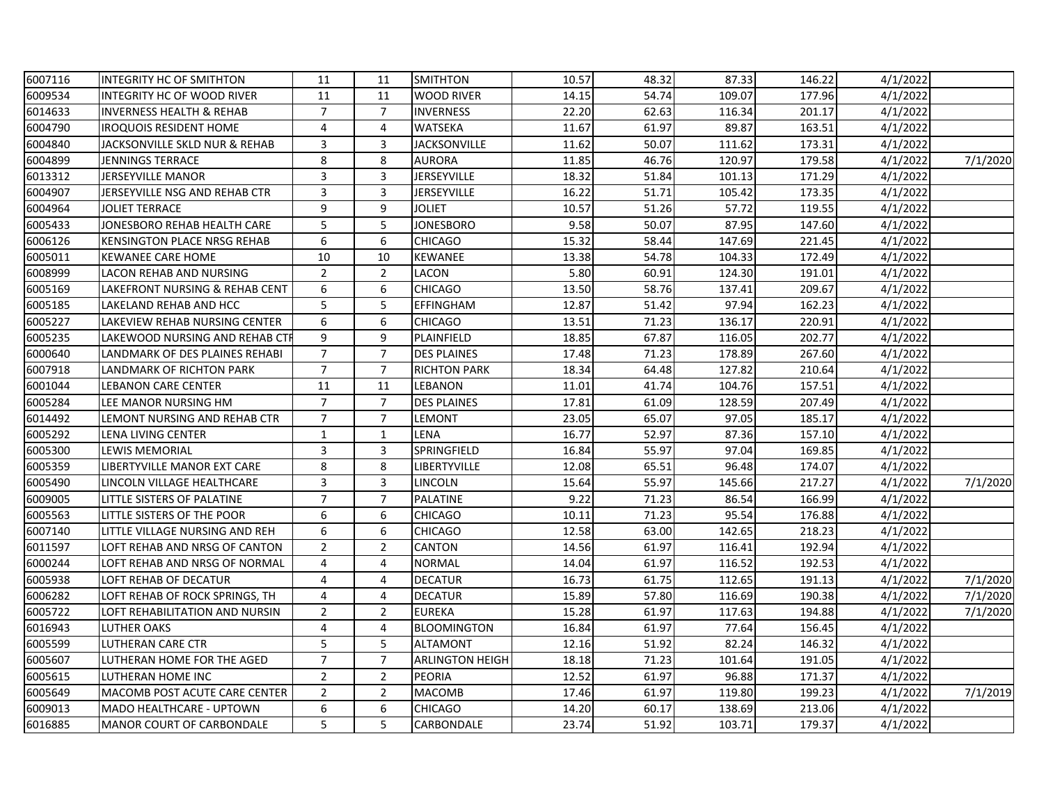| 6007116 | INTEGRITY HC OF SMITHTON            | 11             | 11             | <b>SMITHTON</b>        | 10.57 | 48.32 | 87.33  | 146.22 | 4/1/2022 |          |
|---------|-------------------------------------|----------------|----------------|------------------------|-------|-------|--------|--------|----------|----------|
| 6009534 | INTEGRITY HC OF WOOD RIVER          | 11             | 11             | <b>WOOD RIVER</b>      | 14.15 | 54.74 | 109.07 | 177.96 | 4/1/2022 |          |
| 6014633 | <b>INVERNESS HEALTH &amp; REHAB</b> | $\overline{7}$ | $\overline{7}$ | <b>INVERNESS</b>       | 22.20 | 62.63 | 116.34 | 201.17 | 4/1/2022 |          |
| 6004790 | <b>IROQUOIS RESIDENT HOME</b>       | 4              | 4              | <b>WATSEKA</b>         | 11.67 | 61.97 | 89.87  | 163.51 | 4/1/2022 |          |
| 6004840 | JACKSONVILLE SKLD NUR & REHAB       | 3              | 3              | <b>JACKSONVILLE</b>    | 11.62 | 50.07 | 111.62 | 173.31 | 4/1/2022 |          |
| 6004899 | <b>JENNINGS TERRACE</b>             | 8              | 8              | <b>AURORA</b>          | 11.85 | 46.76 | 120.97 | 179.58 | 4/1/2022 | 7/1/2020 |
| 6013312 | <b>JERSEYVILLE MANOR</b>            | 3              | 3              | <b>JERSEYVILLE</b>     | 18.32 | 51.84 | 101.13 | 171.29 | 4/1/2022 |          |
| 6004907 | JERSEYVILLE NSG AND REHAB CTR       | 3              | 3              | JERSEYVILLE            | 16.22 | 51.71 | 105.42 | 173.35 | 4/1/2022 |          |
| 6004964 | <b>JOLIET TERRACE</b>               | 9              | 9              | <b>JOLIET</b>          | 10.57 | 51.26 | 57.72  | 119.55 | 4/1/2022 |          |
| 6005433 | JONESBORO REHAB HEALTH CARE         | 5              | 5              | <b>JONESBORO</b>       | 9.58  | 50.07 | 87.95  | 147.60 | 4/1/2022 |          |
| 6006126 | KENSINGTON PLACE NRSG REHAB         | 6              | 6              | <b>CHICAGO</b>         | 15.32 | 58.44 | 147.69 | 221.45 | 4/1/2022 |          |
| 6005011 | <b>KEWANEE CARE HOME</b>            | 10             | 10             | <b>KEWANEE</b>         | 13.38 | 54.78 | 104.33 | 172.49 | 4/1/2022 |          |
| 6008999 | LACON REHAB AND NURSING             | $\overline{2}$ | $\overline{2}$ | LACON                  | 5.80  | 60.91 | 124.30 | 191.01 | 4/1/2022 |          |
| 6005169 | LAKEFRONT NURSING & REHAB CENT      | 6              | 6              | <b>CHICAGO</b>         | 13.50 | 58.76 | 137.41 | 209.67 | 4/1/2022 |          |
| 6005185 | LAKELAND REHAB AND HCC              | 5              | 5              | EFFINGHAM              | 12.87 | 51.42 | 97.94  | 162.23 | 4/1/2022 |          |
| 6005227 | LAKEVIEW REHAB NURSING CENTER       | 6              | 6              | CHICAGO                | 13.51 | 71.23 | 136.17 | 220.91 | 4/1/2022 |          |
| 6005235 | LAKEWOOD NURSING AND REHAB CTI      | 9              | 9              | PLAINFIELD             | 18.85 | 67.87 | 116.05 | 202.77 | 4/1/2022 |          |
| 6000640 | LANDMARK OF DES PLAINES REHABI      | $\overline{7}$ | $\overline{7}$ | <b>DES PLAINES</b>     | 17.48 | 71.23 | 178.89 | 267.60 | 4/1/2022 |          |
| 6007918 | LANDMARK OF RICHTON PARK            | $\overline{7}$ | $\overline{7}$ | <b>RICHTON PARK</b>    | 18.34 | 64.48 | 127.82 | 210.64 | 4/1/2022 |          |
| 6001044 | <b>LEBANON CARE CENTER</b>          | 11             | 11             | LEBANON                | 11.01 | 41.74 | 104.76 | 157.51 | 4/1/2022 |          |
| 6005284 | LEE MANOR NURSING HM                | $\overline{7}$ | $\overline{7}$ | <b>DES PLAINES</b>     | 17.81 | 61.09 | 128.59 | 207.49 | 4/1/2022 |          |
| 6014492 | LEMONT NURSING AND REHAB CTR        | $\overline{7}$ | $\overline{7}$ | LEMONT                 | 23.05 | 65.07 | 97.05  | 185.17 | 4/1/2022 |          |
| 6005292 | LENA LIVING CENTER                  | $\mathbf{1}$   | $\mathbf{1}$   | LENA                   | 16.77 | 52.97 | 87.36  | 157.10 | 4/1/2022 |          |
| 6005300 | <b>LEWIS MEMORIAL</b>               | 3              | 3              | SPRINGFIELD            | 16.84 | 55.97 | 97.04  | 169.85 | 4/1/2022 |          |
| 6005359 | LIBERTYVILLE MANOR EXT CARE         | 8              | 8              | <b>LIBERTYVILLE</b>    | 12.08 | 65.51 | 96.48  | 174.07 | 4/1/2022 |          |
| 6005490 | LINCOLN VILLAGE HEALTHCARE          | 3              | 3              | LINCOLN                | 15.64 | 55.97 | 145.66 | 217.27 | 4/1/2022 | 7/1/2020 |
| 6009005 | LITTLE SISTERS OF PALATINE          | $\overline{7}$ | $\overline{7}$ | <b>PALATINE</b>        | 9.22  | 71.23 | 86.54  | 166.99 | 4/1/2022 |          |
| 6005563 | LITTLE SISTERS OF THE POOR          | 6              | 6              | <b>CHICAGO</b>         | 10.11 | 71.23 | 95.54  | 176.88 | 4/1/2022 |          |
| 6007140 | LITTLE VILLAGE NURSING AND REH      | 6              | 6              | <b>CHICAGO</b>         | 12.58 | 63.00 | 142.65 | 218.23 | 4/1/2022 |          |
| 6011597 | LOFT REHAB AND NRSG OF CANTON       | $\overline{2}$ | $\overline{2}$ | CANTON                 | 14.56 | 61.97 | 116.41 | 192.94 | 4/1/2022 |          |
| 6000244 | LOFT REHAB AND NRSG OF NORMAL       | 4              | 4              | <b>NORMAL</b>          | 14.04 | 61.97 | 116.52 | 192.53 | 4/1/2022 |          |
| 6005938 | LOFT REHAB OF DECATUR               | 4              | 4              | <b>DECATUR</b>         | 16.73 | 61.75 | 112.65 | 191.13 | 4/1/2022 | 7/1/2020 |
| 6006282 | LOFT REHAB OF ROCK SPRINGS, TH      | 4              | 4              | <b>DECATUR</b>         | 15.89 | 57.80 | 116.69 | 190.38 | 4/1/2022 | 7/1/2020 |
| 6005722 | LOFT REHABILITATION AND NURSIN      | $\overline{2}$ | $\overline{2}$ | <b>EUREKA</b>          | 15.28 | 61.97 | 117.63 | 194.88 | 4/1/2022 | 7/1/2020 |
| 6016943 | <b>LUTHER OAKS</b>                  | 4              | 4              | <b>BLOOMINGTON</b>     | 16.84 | 61.97 | 77.64  | 156.45 | 4/1/2022 |          |
| 6005599 | <b>LUTHERAN CARE CTR</b>            | 5              | 5              | <b>ALTAMONT</b>        | 12.16 | 51.92 | 82.24  | 146.32 | 4/1/2022 |          |
| 6005607 | LUTHERAN HOME FOR THE AGED          | $\overline{7}$ | $\overline{7}$ | <b>ARLINGTON HEIGH</b> | 18.18 | 71.23 | 101.64 | 191.05 | 4/1/2022 |          |
| 6005615 | LUTHERAN HOME INC                   | $\overline{2}$ | $\overline{2}$ | PEORIA                 | 12.52 | 61.97 | 96.88  | 171.37 | 4/1/2022 |          |
| 6005649 | MACOMB POST ACUTE CARE CENTER       | $\overline{2}$ | $\overline{2}$ | <b>MACOMB</b>          | 17.46 | 61.97 | 119.80 | 199.23 | 4/1/2022 | 7/1/2019 |
| 6009013 | MADO HEALTHCARE - UPTOWN            | 6              | 6              | CHICAGO                | 14.20 | 60.17 | 138.69 | 213.06 | 4/1/2022 |          |
| 6016885 | <b>MANOR COURT OF CARBONDALE</b>    | 5              | 5              | CARBONDALE             | 23.74 | 51.92 | 103.71 | 179.37 | 4/1/2022 |          |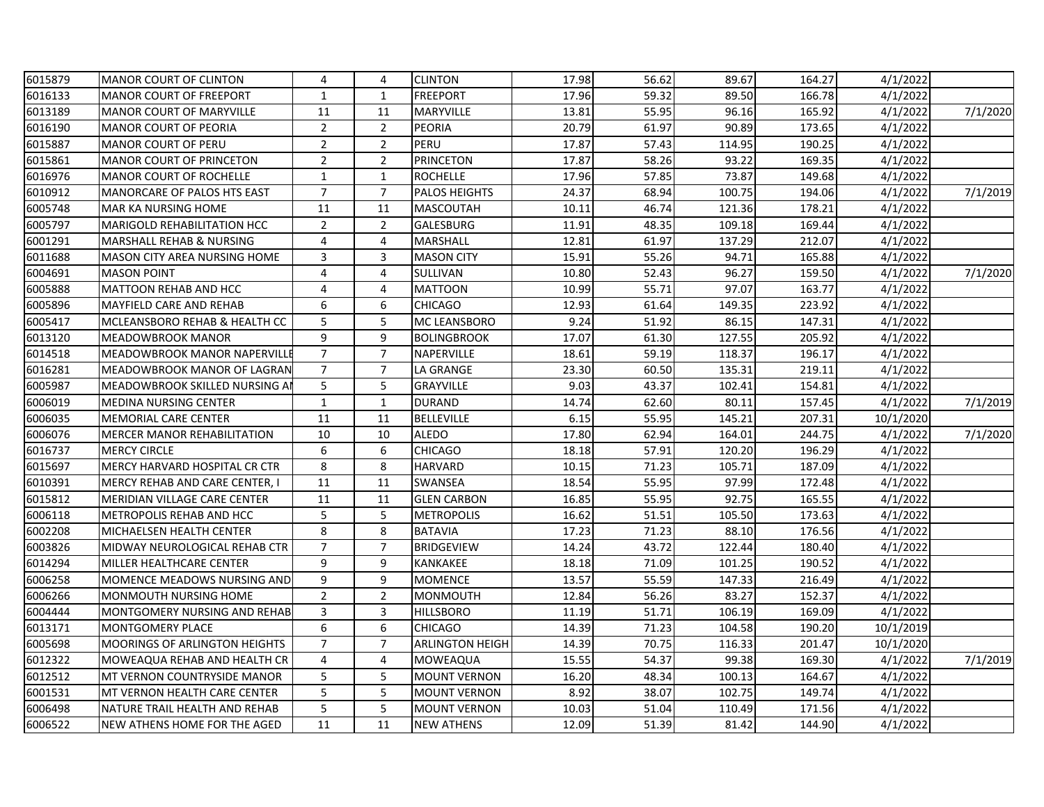| 6015879 | <b>MANOR COURT OF CLINTON</b>         | 4              | 4              | <b>CLINTON</b>         | 17.98 | 56.62 | 89.67  | 164.27 | 4/1/2022  |          |
|---------|---------------------------------------|----------------|----------------|------------------------|-------|-------|--------|--------|-----------|----------|
| 6016133 | <b>MANOR COURT OF FREEPORT</b>        | $\mathbf{1}$   | $\mathbf{1}$   | <b>FREEPORT</b>        | 17.96 | 59.32 | 89.50  | 166.78 | 4/1/2022  |          |
| 6013189 | <b>MANOR COURT OF MARYVILLE</b>       | 11             | 11             | <b>MARYVILLE</b>       | 13.81 | 55.95 | 96.16  | 165.92 | 4/1/2022  | 7/1/2020 |
| 6016190 | <b>MANOR COURT OF PEORIA</b>          | $\overline{2}$ | $\overline{2}$ | <b>PEORIA</b>          | 20.79 | 61.97 | 90.89  | 173.65 | 4/1/2022  |          |
| 6015887 | <b>MANOR COURT OF PERU</b>            | $\overline{2}$ | $\overline{2}$ | PERU                   | 17.87 | 57.43 | 114.95 | 190.25 | 4/1/2022  |          |
| 6015861 | <b>MANOR COURT OF PRINCETON</b>       | $\overline{2}$ | $\overline{2}$ | <b>PRINCETON</b>       | 17.87 | 58.26 | 93.22  | 169.35 | 4/1/2022  |          |
| 6016976 | <b>MANOR COURT OF ROCHELLE</b>        | $\mathbf 1$    | $\mathbf{1}$   | <b>ROCHELLE</b>        | 17.96 | 57.85 | 73.87  | 149.68 | 4/1/2022  |          |
| 6010912 | <b>MANORCARE OF PALOS HTS EAST</b>    | $\overline{7}$ | $\overline{7}$ | <b>PALOS HEIGHTS</b>   | 24.37 | 68.94 | 100.75 | 194.06 | 4/1/2022  | 7/1/2019 |
| 6005748 | <b>MAR KA NURSING HOME</b>            | 11             | 11             | <b>MASCOUTAH</b>       | 10.11 | 46.74 | 121.36 | 178.21 | 4/1/2022  |          |
| 6005797 | <b>MARIGOLD REHABILITATION HCC</b>    | $\overline{2}$ | $\overline{2}$ | <b>GALESBURG</b>       | 11.91 | 48.35 | 109.18 | 169.44 | 4/1/2022  |          |
| 6001291 | MARSHALL REHAB & NURSING              | 4              | 4              | MARSHALL               | 12.81 | 61.97 | 137.29 | 212.07 | 4/1/2022  |          |
| 6011688 | <b>MASON CITY AREA NURSING HOME</b>   | 3              | 3              | <b>MASON CITY</b>      | 15.91 | 55.26 | 94.71  | 165.88 | 4/1/2022  |          |
| 6004691 | <b>MASON POINT</b>                    | 4              | 4              | SULLIVAN               | 10.80 | 52.43 | 96.27  | 159.50 | 4/1/2022  | 7/1/2020 |
| 6005888 | <b>MATTOON REHAB AND HCC</b>          | $\overline{4}$ | 4              | <b>MATTOON</b>         | 10.99 | 55.71 | 97.07  | 163.77 | 4/1/2022  |          |
| 6005896 | <b>MAYFIELD CARE AND REHAB</b>        | 6              | 6              | <b>CHICAGO</b>         | 12.93 | 61.64 | 149.35 | 223.92 | 4/1/2022  |          |
| 6005417 | MCLEANSBORO REHAB & HEALTH CC         | 5              | 5              | MC LEANSBORO           | 9.24  | 51.92 | 86.15  | 147.31 | 4/1/2022  |          |
| 6013120 | <b>MEADOWBROOK MANOR</b>              | 9              | 9              | <b>BOLINGBROOK</b>     | 17.07 | 61.30 | 127.55 | 205.92 | 4/1/2022  |          |
| 6014518 | <b>MEADOWBROOK MANOR NAPERVILL</b>    | $\overline{7}$ | $\overline{7}$ | NAPERVILLE             | 18.61 | 59.19 | 118.37 | 196.17 | 4/1/2022  |          |
| 6016281 | <b>MEADOWBROOK MANOR OF LAGRAN</b>    | $\overline{7}$ | $\overline{7}$ | LA GRANGE              | 23.30 | 60.50 | 135.31 | 219.11 | 4/1/2022  |          |
| 6005987 | MEADOWBROOK SKILLED NURSING A         | 5              | 5              | <b>GRAYVILLE</b>       | 9.03  | 43.37 | 102.41 | 154.81 | 4/1/2022  |          |
| 6006019 | <b>MEDINA NURSING CENTER</b>          | $\mathbf{1}$   | $\mathbf{1}$   | <b>DURAND</b>          | 14.74 | 62.60 | 80.11  | 157.45 | 4/1/2022  | 7/1/2019 |
| 6006035 | MEMORIAL CARE CENTER                  | 11             | 11             | <b>BELLEVILLE</b>      | 6.15  | 55.95 | 145.21 | 207.31 | 10/1/2020 |          |
| 6006076 | <b>MERCER MANOR REHABILITATION</b>    | 10             | 10             | <b>ALEDO</b>           | 17.80 | 62.94 | 164.01 | 244.75 | 4/1/2022  | 7/1/2020 |
| 6016737 | <b>MERCY CIRCLE</b>                   | 6              | 6              | <b>CHICAGO</b>         | 18.18 | 57.91 | 120.20 | 196.29 | 4/1/2022  |          |
| 6015697 | MERCY HARVARD HOSPITAL CR CTR         | 8              | 8              | <b>HARVARD</b>         | 10.15 | 71.23 | 105.71 | 187.09 | 4/1/2022  |          |
| 6010391 | <b>MERCY REHAB AND CARE CENTER, I</b> | 11             | 11             | <b>SWANSEA</b>         | 18.54 | 55.95 | 97.99  | 172.48 | 4/1/2022  |          |
| 6015812 | <b>MERIDIAN VILLAGE CARE CENTER</b>   | 11             | 11             | <b>GLEN CARBON</b>     | 16.85 | 55.95 | 92.75  | 165.55 | 4/1/2022  |          |
| 6006118 | <b>METROPOLIS REHAB AND HCC</b>       | 5              | 5              | <b>METROPOLIS</b>      | 16.62 | 51.51 | 105.50 | 173.63 | 4/1/2022  |          |
| 6002208 | MICHAELSEN HEALTH CENTER              | 8              | 8              | <b>BATAVIA</b>         | 17.23 | 71.23 | 88.10  | 176.56 | 4/1/2022  |          |
| 6003826 | MIDWAY NEUROLOGICAL REHAB CTR         | $\overline{7}$ | $\overline{7}$ | <b>BRIDGEVIEW</b>      | 14.24 | 43.72 | 122.44 | 180.40 | 4/1/2022  |          |
| 6014294 | MILLER HEALTHCARE CENTER              | 9              | 9              | KANKAKEE               | 18.18 | 71.09 | 101.25 | 190.52 | 4/1/2022  |          |
| 6006258 | MOMENCE MEADOWS NURSING AND           | 9              | 9              | <b>MOMENCE</b>         | 13.57 | 55.59 | 147.33 | 216.49 | 4/1/2022  |          |
| 6006266 | MONMOUTH NURSING HOME                 | $\overline{2}$ | $\overline{2}$ | <b>MONMOUTH</b>        | 12.84 | 56.26 | 83.27  | 152.37 | 4/1/2022  |          |
| 6004444 | <b>MONTGOMERY NURSING AND REHAB</b>   | 3              | 3              | <b>HILLSBORO</b>       | 11.19 | 51.71 | 106.19 | 169.09 | 4/1/2022  |          |
| 6013171 | <b>MONTGOMERY PLACE</b>               | 6              | 6              | <b>CHICAGO</b>         | 14.39 | 71.23 | 104.58 | 190.20 | 10/1/2019 |          |
| 6005698 | MOORINGS OF ARLINGTON HEIGHTS         | $\overline{7}$ | $\overline{7}$ | <b>ARLINGTON HEIGH</b> | 14.39 | 70.75 | 116.33 | 201.47 | 10/1/2020 |          |
| 6012322 | MOWEAQUA REHAB AND HEALTH CR          | 4              | 4              | <b>MOWEAQUA</b>        | 15.55 | 54.37 | 99.38  | 169.30 | 4/1/2022  | 7/1/2019 |
| 6012512 | MT VERNON COUNTRYSIDE MANOR           | 5              | 5              | <b>MOUNT VERNON</b>    | 16.20 | 48.34 | 100.13 | 164.67 | 4/1/2022  |          |
| 6001531 | <b>MT VERNON HEALTH CARE CENTER</b>   | 5              | 5              | <b>MOUNT VERNON</b>    | 8.92  | 38.07 | 102.75 | 149.74 | 4/1/2022  |          |
| 6006498 | NATURE TRAIL HEALTH AND REHAB         | 5              | 5              | <b>MOUNT VERNON</b>    | 10.03 | 51.04 | 110.49 | 171.56 | 4/1/2022  |          |
| 6006522 | NEW ATHENS HOME FOR THE AGED          | 11             | 11             | <b>NEW ATHENS</b>      | 12.09 | 51.39 | 81.42  | 144.90 | 4/1/2022  |          |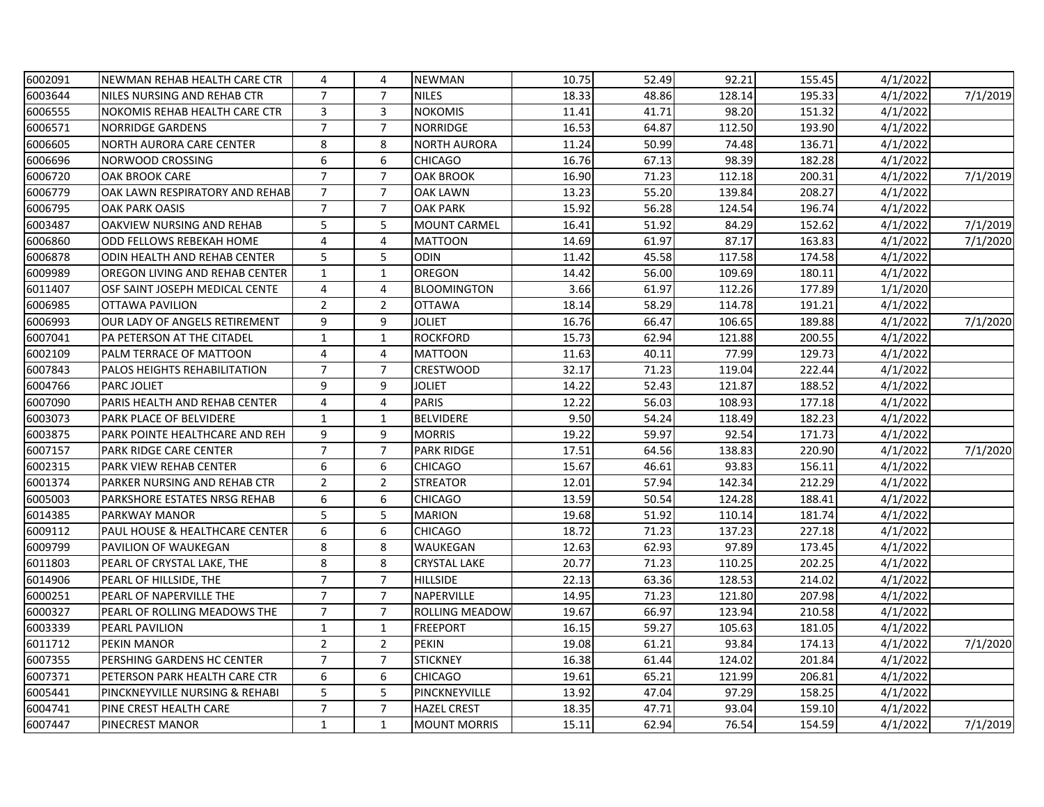| 6002091 | NEWMAN REHAB HEALTH CARE CTR         | 4              | 4              | <b>NEWMAN</b>       | 10.75 | 52.49 | 92.21  | 155.45 | 4/1/2022 |          |
|---------|--------------------------------------|----------------|----------------|---------------------|-------|-------|--------|--------|----------|----------|
| 6003644 | NILES NURSING AND REHAB CTR          | $\overline{7}$ | $\overline{7}$ | <b>NILES</b>        | 18.33 | 48.86 | 128.14 | 195.33 | 4/1/2022 | 7/1/2019 |
| 6006555 | <b>NOKOMIS REHAB HEALTH CARE CTR</b> | 3              | 3              | <b>NOKOMIS</b>      | 11.41 | 41.71 | 98.20  | 151.32 | 4/1/2022 |          |
| 6006571 | <b>NORRIDGE GARDENS</b>              | $\overline{7}$ | $\overline{7}$ | <b>NORRIDGE</b>     | 16.53 | 64.87 | 112.50 | 193.90 | 4/1/2022 |          |
| 6006605 | NORTH AURORA CARE CENTER             | 8              | 8              | <b>NORTH AURORA</b> | 11.24 | 50.99 | 74.48  | 136.71 | 4/1/2022 |          |
| 6006696 | NORWOOD CROSSING                     | 6              | 6              | <b>CHICAGO</b>      | 16.76 | 67.13 | 98.39  | 182.28 | 4/1/2022 |          |
| 6006720 | <b>OAK BROOK CARE</b>                | $\overline{7}$ | $\overline{7}$ | <b>OAK BROOK</b>    | 16.90 | 71.23 | 112.18 | 200.31 | 4/1/2022 | 7/1/2019 |
| 6006779 | OAK LAWN RESPIRATORY AND REHAB       | $\overline{7}$ | $\overline{7}$ | <b>OAK LAWN</b>     | 13.23 | 55.20 | 139.84 | 208.27 | 4/1/2022 |          |
| 6006795 | <b>OAK PARK OASIS</b>                | $\overline{7}$ | $\overline{7}$ | <b>OAK PARK</b>     | 15.92 | 56.28 | 124.54 | 196.74 | 4/1/2022 |          |
| 6003487 | OAKVIEW NURSING AND REHAB            | 5              | 5              | <b>MOUNT CARMEL</b> | 16.41 | 51.92 | 84.29  | 152.62 | 4/1/2022 | 7/1/2019 |
| 6006860 | ODD FELLOWS REBEKAH HOME             | 4              | $\overline{4}$ | <b>MATTOON</b>      | 14.69 | 61.97 | 87.17  | 163.83 | 4/1/2022 | 7/1/2020 |
| 6006878 | ODIN HEALTH AND REHAB CENTER         | 5              | 5              | <b>ODIN</b>         | 11.42 | 45.58 | 117.58 | 174.58 | 4/1/2022 |          |
| 6009989 | OREGON LIVING AND REHAB CENTER       | $\mathbf{1}$   | $\mathbf{1}$   | OREGON              | 14.42 | 56.00 | 109.69 | 180.11 | 4/1/2022 |          |
| 6011407 | OSF SAINT JOSEPH MEDICAL CENTE       | $\overline{4}$ | 4              | <b>BLOOMINGTON</b>  | 3.66  | 61.97 | 112.26 | 177.89 | 1/1/2020 |          |
| 6006985 | <b>OTTAWA PAVILION</b>               | $\overline{2}$ | $\overline{2}$ | <b>OTTAWA</b>       | 18.14 | 58.29 | 114.78 | 191.21 | 4/1/2022 |          |
| 6006993 | OUR LADY OF ANGELS RETIREMENT        | 9              | 9              | Joliet              | 16.76 | 66.47 | 106.65 | 189.88 | 4/1/2022 | 7/1/2020 |
| 6007041 | PA PETERSON AT THE CITADEL           | $\mathbf{1}$   | $\mathbf{1}$   | <b>ROCKFORD</b>     | 15.73 | 62.94 | 121.88 | 200.55 | 4/1/2022 |          |
| 6002109 | PALM TERRACE OF MATTOON              | 4              | 4              | <b>MATTOON</b>      | 11.63 | 40.11 | 77.99  | 129.73 | 4/1/2022 |          |
| 6007843 | PALOS HEIGHTS REHABILITATION         | $\overline{7}$ | $\overline{7}$ | <b>CRESTWOOD</b>    | 32.17 | 71.23 | 119.04 | 222.44 | 4/1/2022 |          |
| 6004766 | <b>PARC JOLIET</b>                   | 9              | 9              | <b>JOLIET</b>       | 14.22 | 52.43 | 121.87 | 188.52 | 4/1/2022 |          |
| 6007090 | PARIS HEALTH AND REHAB CENTER        | 4              | 4              | <b>PARIS</b>        | 12.22 | 56.03 | 108.93 | 177.18 | 4/1/2022 |          |
| 6003073 | PARK PLACE OF BELVIDERE              | $\mathbf{1}$   | $\mathbf{1}$   | <b>BELVIDERE</b>    | 9.50  | 54.24 | 118.49 | 182.23 | 4/1/2022 |          |
| 6003875 | PARK POINTE HEALTHCARE AND REH       | 9              | 9              | <b>MORRIS</b>       | 19.22 | 59.97 | 92.54  | 171.73 | 4/1/2022 |          |
| 6007157 | <b>PARK RIDGE CARE CENTER</b>        | $\overline{7}$ | $\overline{7}$ | <b>PARK RIDGE</b>   | 17.51 | 64.56 | 138.83 | 220.90 | 4/1/2022 | 7/1/2020 |
| 6002315 | <b>PARK VIEW REHAB CENTER</b>        | 6              | 6              | <b>CHICAGO</b>      | 15.67 | 46.61 | 93.83  | 156.11 | 4/1/2022 |          |
| 6001374 | PARKER NURSING AND REHAB CTR         | $\overline{2}$ | $\overline{2}$ | <b>STREATOR</b>     | 12.01 | 57.94 | 142.34 | 212.29 | 4/1/2022 |          |
| 6005003 | PARKSHORE ESTATES NRSG REHAB         | 6              | 6              | CHICAGO             | 13.59 | 50.54 | 124.28 | 188.41 | 4/1/2022 |          |
| 6014385 | <b>PARKWAY MANOR</b>                 | 5              | 5              | <b>MARION</b>       | 19.68 | 51.92 | 110.14 | 181.74 | 4/1/2022 |          |
| 6009112 | PAUL HOUSE & HEALTHCARE CENTER       | 6              | 6              | <b>CHICAGO</b>      | 18.72 | 71.23 | 137.23 | 227.18 | 4/1/2022 |          |
| 6009799 | PAVILION OF WAUKEGAN                 | 8              | 8              | WAUKEGAN            | 12.63 | 62.93 | 97.89  | 173.45 | 4/1/2022 |          |
| 6011803 | PEARL OF CRYSTAL LAKE, THE           | 8              | 8              | <b>CRYSTAL LAKE</b> | 20.77 | 71.23 | 110.25 | 202.25 | 4/1/2022 |          |
| 6014906 | PEARL OF HILLSIDE, THE               | $\overline{7}$ | $\overline{7}$ | <b>HILLSIDE</b>     | 22.13 | 63.36 | 128.53 | 214.02 | 4/1/2022 |          |
| 6000251 | PEARL OF NAPERVILLE THE              | $\overline{7}$ | $\overline{7}$ | NAPERVILLE          | 14.95 | 71.23 | 121.80 | 207.98 | 4/1/2022 |          |
| 6000327 | PEARL OF ROLLING MEADOWS THE         | $\overline{7}$ | $\overline{7}$ | ROLLING MEADOW      | 19.67 | 66.97 | 123.94 | 210.58 | 4/1/2022 |          |
| 6003339 | PEARL PAVILION                       | $\mathbf{1}$   | $\mathbf{1}$   | <b>FREEPORT</b>     | 16.15 | 59.27 | 105.63 | 181.05 | 4/1/2022 |          |
| 6011712 | <b>PEKIN MANOR</b>                   | $\overline{2}$ | $\overline{2}$ | <b>PEKIN</b>        | 19.08 | 61.21 | 93.84  | 174.13 | 4/1/2022 | 7/1/2020 |
| 6007355 | PERSHING GARDENS HC CENTER           | $\overline{7}$ | $\overline{7}$ | <b>STICKNEY</b>     | 16.38 | 61.44 | 124.02 | 201.84 | 4/1/2022 |          |
| 6007371 | PETERSON PARK HEALTH CARE CTR        | 6              | 6              | <b>CHICAGO</b>      | 19.61 | 65.21 | 121.99 | 206.81 | 4/1/2022 |          |
| 6005441 | PINCKNEYVILLE NURSING & REHABI       | 5              | 5              | PINCKNEYVILLE       | 13.92 | 47.04 | 97.29  | 158.25 | 4/1/2022 |          |
| 6004741 | PINE CREST HEALTH CARE               | $\overline{7}$ | $\overline{7}$ | <b>HAZEL CREST</b>  | 18.35 | 47.71 | 93.04  | 159.10 | 4/1/2022 |          |
| 6007447 | PINECREST MANOR                      | $\mathbf{1}$   | $\mathbf{1}$   | <b>MOUNT MORRIS</b> | 15.11 | 62.94 | 76.54  | 154.59 | 4/1/2022 | 7/1/2019 |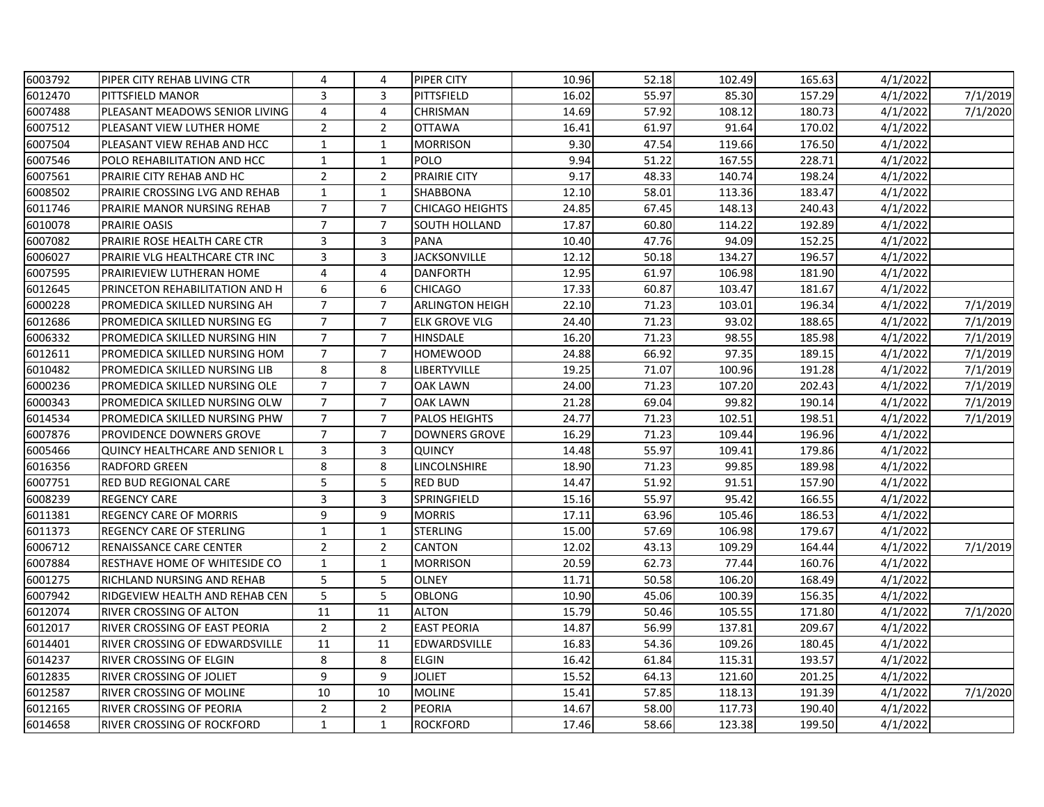| 6003792 | PIPER CITY REHAB LIVING CTR           | 4              | 4              | <b>PIPER CITY</b>      | 10.96 | 52.18 | 102.49 | 165.63 | 4/1/2022 |          |
|---------|---------------------------------------|----------------|----------------|------------------------|-------|-------|--------|--------|----------|----------|
| 6012470 | <b>PITTSFIELD MANOR</b>               | 3              | 3              | PITTSFIELD             | 16.02 | 55.97 | 85.30  | 157.29 | 4/1/2022 | 7/1/2019 |
| 6007488 | PLEASANT MEADOWS SENIOR LIVING        | 4              | 4              | CHRISMAN               | 14.69 | 57.92 | 108.12 | 180.73 | 4/1/2022 | 7/1/2020 |
| 6007512 | PLEASANT VIEW LUTHER HOME             | $\overline{2}$ | $\overline{2}$ | <b>OTTAWA</b>          | 16.41 | 61.97 | 91.64  | 170.02 | 4/1/2022 |          |
| 6007504 | PLEASANT VIEW REHAB AND HCC           | $\mathbf{1}$   | $\mathbf{1}$   | <b>MORRISON</b>        | 9.30  | 47.54 | 119.66 | 176.50 | 4/1/2022 |          |
| 6007546 | POLO REHABILITATION AND HCC           | $\mathbf{1}$   | $\mathbf{1}$   | <b>POLO</b>            | 9.94  | 51.22 | 167.55 | 228.71 | 4/1/2022 |          |
| 6007561 | <b>PRAIRIE CITY REHAB AND HC</b>      | $\overline{2}$ | $\overline{2}$ | <b>PRAIRIE CITY</b>    | 9.17  | 48.33 | 140.74 | 198.24 | 4/1/2022 |          |
| 6008502 | PRAIRIE CROSSING LVG AND REHAB        | $\mathbf 1$    | $\mathbf{1}$   | <b>SHABBONA</b>        | 12.10 | 58.01 | 113.36 | 183.47 | 4/1/2022 |          |
| 6011746 | PRAIRIE MANOR NURSING REHAB           | $\overline{7}$ | $\overline{7}$ | <b>CHICAGO HEIGHTS</b> | 24.85 | 67.45 | 148.13 | 240.43 | 4/1/2022 |          |
| 6010078 | <b>PRAIRIE OASIS</b>                  | $\overline{7}$ | $\overline{7}$ | SOUTH HOLLAND          | 17.87 | 60.80 | 114.22 | 192.89 | 4/1/2022 |          |
| 6007082 | PRAIRIE ROSE HEALTH CARE CTR          | 3              | 3              | <b>PANA</b>            | 10.40 | 47.76 | 94.09  | 152.25 | 4/1/2022 |          |
| 6006027 | PRAIRIE VLG HEALTHCARE CTR INC        | 3              | 3              | <b>JACKSONVILLE</b>    | 12.12 | 50.18 | 134.27 | 196.57 | 4/1/2022 |          |
| 6007595 | <b>PRAIRIEVIEW LUTHERAN HOME</b>      | 4              | 4              | <b>DANFORTH</b>        | 12.95 | 61.97 | 106.98 | 181.90 | 4/1/2022 |          |
| 6012645 | PRINCETON REHABILITATION AND H        | 6              | 6              | <b>CHICAGO</b>         | 17.33 | 60.87 | 103.47 | 181.67 | 4/1/2022 |          |
| 6000228 | PROMEDICA SKILLED NURSING AH          | $\overline{7}$ | $\overline{7}$ | <b>ARLINGTON HEIGH</b> | 22.10 | 71.23 | 103.01 | 196.34 | 4/1/2022 | 7/1/2019 |
| 6012686 | PROMEDICA SKILLED NURSING EG          | $\overline{7}$ | $\overline{7}$ | ELK GROVE VLG          | 24.40 | 71.23 | 93.02  | 188.65 | 4/1/2022 | 7/1/2019 |
| 6006332 | PROMEDICA SKILLED NURSING HIN         | $\overline{7}$ | $\overline{7}$ | <b>HINSDALE</b>        | 16.20 | 71.23 | 98.55  | 185.98 | 4/1/2022 | 7/1/2019 |
| 6012611 | PROMEDICA SKILLED NURSING HOM         | $\overline{7}$ | $\overline{7}$ | <b>HOMEWOOD</b>        | 24.88 | 66.92 | 97.35  | 189.15 | 4/1/2022 | 7/1/2019 |
| 6010482 | PROMEDICA SKILLED NURSING LIB         | 8              | 8              | LIBERTYVILLE           | 19.25 | 71.07 | 100.96 | 191.28 | 4/1/2022 | 7/1/2019 |
| 6000236 | PROMEDICA SKILLED NURSING OLE         | $\overline{7}$ | $\overline{7}$ | <b>OAK LAWN</b>        | 24.00 | 71.23 | 107.20 | 202.43 | 4/1/2022 | 7/1/2019 |
| 6000343 | PROMEDICA SKILLED NURSING OLW         | $\overline{7}$ | $\overline{7}$ | <b>OAK LAWN</b>        | 21.28 | 69.04 | 99.82  | 190.14 | 4/1/2022 | 7/1/2019 |
| 6014534 | PROMEDICA SKILLED NURSING PHW         | $\overline{7}$ | $\overline{7}$ | <b>PALOS HEIGHTS</b>   | 24.77 | 71.23 | 102.51 | 198.51 | 4/1/2022 | 7/1/2019 |
| 6007876 | PROVIDENCE DOWNERS GROVE              | $\overline{7}$ | $\overline{7}$ | <b>DOWNERS GROVE</b>   | 16.29 | 71.23 | 109.44 | 196.96 | 4/1/2022 |          |
| 6005466 | <b>QUINCY HEALTHCARE AND SENIOR L</b> | 3              | 3              | <b>QUINCY</b>          | 14.48 | 55.97 | 109.41 | 179.86 | 4/1/2022 |          |
| 6016356 | <b>RADFORD GREEN</b>                  | $\,8\,$        | 8              | LINCOLNSHIRE           | 18.90 | 71.23 | 99.85  | 189.98 | 4/1/2022 |          |
| 6007751 | <b>RED BUD REGIONAL CARE</b>          | 5              | 5              | <b>RED BUD</b>         | 14.47 | 51.92 | 91.51  | 157.90 | 4/1/2022 |          |
| 6008239 | <b>REGENCY CARE</b>                   | 3              | 3              | SPRINGFIELD            | 15.16 | 55.97 | 95.42  | 166.55 | 4/1/2022 |          |
| 6011381 | <b>REGENCY CARE OF MORRIS</b>         | 9              | 9              | <b>MORRIS</b>          | 17.11 | 63.96 | 105.46 | 186.53 | 4/1/2022 |          |
| 6011373 | <b>REGENCY CARE OF STERLING</b>       | $\mathbf 1$    | $\mathbf{1}$   | <b>STERLING</b>        | 15.00 | 57.69 | 106.98 | 179.67 | 4/1/2022 |          |
| 6006712 | RENAISSANCE CARE CENTER               | $\overline{2}$ | $\overline{2}$ | <b>CANTON</b>          | 12.02 | 43.13 | 109.29 | 164.44 | 4/1/2022 | 7/1/2019 |
| 6007884 | <b>RESTHAVE HOME OF WHITESIDE CO</b>  | 1              | $\mathbf{1}$   | <b>MORRISON</b>        | 20.59 | 62.73 | 77.44  | 160.76 | 4/1/2022 |          |
| 6001275 | <b>RICHLAND NURSING AND REHAB</b>     | 5              | 5              | <b>OLNEY</b>           | 11.71 | 50.58 | 106.20 | 168.49 | 4/1/2022 |          |
| 6007942 | RIDGEVIEW HEALTH AND REHAB CEN        | 5              | 5              | OBLONG                 | 10.90 | 45.06 | 100.39 | 156.35 | 4/1/2022 |          |
| 6012074 | <b>RIVER CROSSING OF ALTON</b>        | 11             | 11             | <b>ALTON</b>           | 15.79 | 50.46 | 105.55 | 171.80 | 4/1/2022 | 7/1/2020 |
| 6012017 | <b>RIVER CROSSING OF EAST PEORIA</b>  | $\overline{2}$ | $\overline{2}$ | <b>EAST PEORIA</b>     | 14.87 | 56.99 | 137.81 | 209.67 | 4/1/2022 |          |
| 6014401 | RIVER CROSSING OF EDWARDSVILLE        | 11             | 11             | <b>EDWARDSVILLE</b>    | 16.83 | 54.36 | 109.26 | 180.45 | 4/1/2022 |          |
| 6014237 | <b>RIVER CROSSING OF ELGIN</b>        | 8              | 8              | <b>ELGIN</b>           | 16.42 | 61.84 | 115.31 | 193.57 | 4/1/2022 |          |
| 6012835 | <b>RIVER CROSSING OF JOLIET</b>       | 9              | 9              | <b>JOLIET</b>          | 15.52 | 64.13 | 121.60 | 201.25 | 4/1/2022 |          |
| 6012587 | <b>RIVER CROSSING OF MOLINE</b>       | 10             | 10             | <b>MOLINE</b>          | 15.41 | 57.85 | 118.13 | 191.39 | 4/1/2022 | 7/1/2020 |
| 6012165 | <b>RIVER CROSSING OF PEORIA</b>       | $\overline{2}$ | $\overline{2}$ | PEORIA                 | 14.67 | 58.00 | 117.73 | 190.40 | 4/1/2022 |          |
| 6014658 | <b>RIVER CROSSING OF ROCKFORD</b>     | $\mathbf{1}$   | $\mathbf{1}$   | <b>ROCKFORD</b>        | 17.46 | 58.66 | 123.38 | 199.50 | 4/1/2022 |          |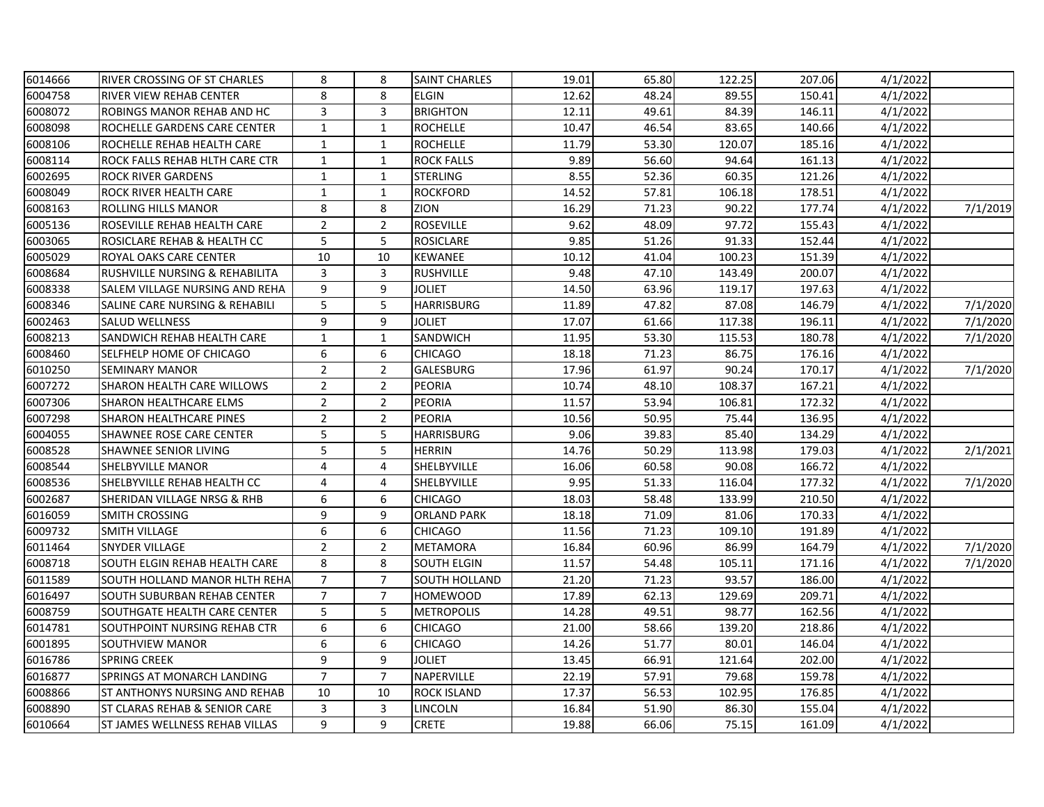| 6014666 | RIVER CROSSING OF ST CHARLES              | 8                | 8              | SAINT CHARLES        | 19.01 | 65.80 | 122.25 | 207.06 | 4/1/2022 |          |
|---------|-------------------------------------------|------------------|----------------|----------------------|-------|-------|--------|--------|----------|----------|
| 6004758 | <b>RIVER VIEW REHAB CENTER</b>            | 8                | 8              | <b>ELGIN</b>         | 12.62 | 48.24 | 89.55  | 150.41 | 4/1/2022 |          |
| 6008072 | ROBINGS MANOR REHAB AND HC                | 3                | 3              | <b>BRIGHTON</b>      | 12.11 | 49.61 | 84.39  | 146.11 | 4/1/2022 |          |
| 6008098 | ROCHELLE GARDENS CARE CENTER              | $\mathbf{1}$     | $\mathbf{1}$   | <b>ROCHELLE</b>      | 10.47 | 46.54 | 83.65  | 140.66 | 4/1/2022 |          |
| 6008106 | ROCHELLE REHAB HEALTH CARE                | $\mathbf{1}$     | $\mathbf{1}$   | <b>ROCHELLE</b>      | 11.79 | 53.30 | 120.07 | 185.16 | 4/1/2022 |          |
| 6008114 | ROCK FALLS REHAB HLTH CARE CTR            | $\mathbf{1}$     | $\mathbf{1}$   | <b>ROCK FALLS</b>    | 9.89  | 56.60 | 94.64  | 161.13 | 4/1/2022 |          |
| 6002695 | <b>ROCK RIVER GARDENS</b>                 | $\mathbf{1}$     | $\mathbf{1}$   | <b>STERLING</b>      | 8.55  | 52.36 | 60.35  | 121.26 | 4/1/2022 |          |
| 6008049 | <b>ROCK RIVER HEALTH CARE</b>             | $\mathbf{1}$     | $\mathbf{1}$   | <b>ROCKFORD</b>      | 14.52 | 57.81 | 106.18 | 178.51 | 4/1/2022 |          |
| 6008163 | <b>ROLLING HILLS MANOR</b>                | 8                | 8              | <b>ZION</b>          | 16.29 | 71.23 | 90.22  | 177.74 | 4/1/2022 | 7/1/2019 |
| 6005136 | ROSEVILLE REHAB HEALTH CARE               | $\overline{2}$   | $\overline{2}$ | <b>ROSEVILLE</b>     | 9.62  | 48.09 | 97.72  | 155.43 | 4/1/2022 |          |
| 6003065 | ROSICLARE REHAB & HEALTH CC               | 5                | 5              | <b>ROSICLARE</b>     | 9.85  | 51.26 | 91.33  | 152.44 | 4/1/2022 |          |
| 6005029 | ROYAL OAKS CARE CENTER                    | $10\,$           | 10             | <b>KEWANEE</b>       | 10.12 | 41.04 | 100.23 | 151.39 | 4/1/2022 |          |
| 6008684 | <b>RUSHVILLE NURSING &amp; REHABILITA</b> | 3                | 3              | <b>RUSHVILLE</b>     | 9.48  | 47.10 | 143.49 | 200.07 | 4/1/2022 |          |
| 6008338 | SALEM VILLAGE NURSING AND REHA            | 9                | 9              | <b>JOLIET</b>        | 14.50 | 63.96 | 119.17 | 197.63 | 4/1/2022 |          |
| 6008346 | SALINE CARE NURSING & REHABILI            | 5                | 5              | <b>HARRISBURG</b>    | 11.89 | 47.82 | 87.08  | 146.79 | 4/1/2022 | 7/1/2020 |
| 6002463 | <b>SALUD WELLNESS</b>                     | 9                | 9              | JOLIET               | 17.07 | 61.66 | 117.38 | 196.11 | 4/1/2022 | 7/1/2020 |
| 6008213 | SANDWICH REHAB HEALTH CARE                | $\mathbf{1}$     | $\mathbf{1}$   | SANDWICH             | 11.95 | 53.30 | 115.53 | 180.78 | 4/1/2022 | 7/1/2020 |
| 6008460 | SELFHELP HOME OF CHICAGO                  | $\boldsymbol{6}$ | 6              | <b>CHICAGO</b>       | 18.18 | 71.23 | 86.75  | 176.16 | 4/1/2022 |          |
| 6010250 | <b>SEMINARY MANOR</b>                     | $\overline{2}$   | $\overline{2}$ | <b>GALESBURG</b>     | 17.96 | 61.97 | 90.24  | 170.17 | 4/1/2022 | 7/1/2020 |
| 6007272 | <b>SHARON HEALTH CARE WILLOWS</b>         | $\overline{2}$   | $\overline{2}$ | <b>PEORIA</b>        | 10.74 | 48.10 | 108.37 | 167.21 | 4/1/2022 |          |
| 6007306 | <b>SHARON HEALTHCARE ELMS</b>             | $\overline{2}$   | $\overline{2}$ | <b>PEORIA</b>        | 11.57 | 53.94 | 106.81 | 172.32 | 4/1/2022 |          |
| 6007298 | <b>SHARON HEALTHCARE PINES</b>            | $\overline{2}$   | $\overline{2}$ | <b>PEORIA</b>        | 10.56 | 50.95 | 75.44  | 136.95 | 4/1/2022 |          |
| 6004055 | <b>SHAWNEE ROSE CARE CENTER</b>           | 5                | 5              | HARRISBURG           | 9.06  | 39.83 | 85.40  | 134.29 | 4/1/2022 |          |
| 6008528 | <b>SHAWNEE SENIOR LIVING</b>              | 5                | 5              | <b>HERRIN</b>        | 14.76 | 50.29 | 113.98 | 179.03 | 4/1/2022 | 2/1/2021 |
| 6008544 | <b>SHELBYVILLE MANOR</b>                  | 4                | 4              | SHELBYVILLE          | 16.06 | 60.58 | 90.08  | 166.72 | 4/1/2022 |          |
| 6008536 | SHELBYVILLE REHAB HEALTH CC               | $\overline{4}$   | 4              | SHELBYVILLE          | 9.95  | 51.33 | 116.04 | 177.32 | 4/1/2022 | 7/1/2020 |
| 6002687 | SHERIDAN VILLAGE NRSG & RHB               | 6                | 6              | <b>CHICAGO</b>       | 18.03 | 58.48 | 133.99 | 210.50 | 4/1/2022 |          |
| 6016059 | <b>SMITH CROSSING</b>                     | 9                | 9              | <b>ORLAND PARK</b>   | 18.18 | 71.09 | 81.06  | 170.33 | 4/1/2022 |          |
| 6009732 | <b>SMITH VILLAGE</b>                      | $\boldsymbol{6}$ | 6              | <b>CHICAGO</b>       | 11.56 | 71.23 | 109.10 | 191.89 | 4/1/2022 |          |
| 6011464 | <b>SNYDER VILLAGE</b>                     | $\overline{2}$   | $\overline{2}$ | <b>METAMORA</b>      | 16.84 | 60.96 | 86.99  | 164.79 | 4/1/2022 | 7/1/2020 |
| 6008718 | SOUTH ELGIN REHAB HEALTH CARE             | 8                | 8              | SOUTH ELGIN          | 11.57 | 54.48 | 105.11 | 171.16 | 4/1/2022 | 7/1/2020 |
| 6011589 | SOUTH HOLLAND MANOR HLTH REHA             | $\overline{7}$   | $\overline{7}$ | <b>SOUTH HOLLAND</b> | 21.20 | 71.23 | 93.57  | 186.00 | 4/1/2022 |          |
| 6016497 | <b>SOUTH SUBURBAN REHAB CENTER</b>        | $\overline{7}$   | $\overline{7}$ | HOMEWOOD             | 17.89 | 62.13 | 129.69 | 209.71 | 4/1/2022 |          |
| 6008759 | <b>SOUTHGATE HEALTH CARE CENTER</b>       | 5                | 5              | <b>METROPOLIS</b>    | 14.28 | 49.51 | 98.77  | 162.56 | 4/1/2022 |          |
| 6014781 | SOUTHPOINT NURSING REHAB CTR              | 6                | 6              | <b>CHICAGO</b>       | 21.00 | 58.66 | 139.20 | 218.86 | 4/1/2022 |          |
| 6001895 | SOUTHVIEW MANOR                           | 6                | 6              | <b>CHICAGO</b>       | 14.26 | 51.77 | 80.01  | 146.04 | 4/1/2022 |          |
| 6016786 | <b>SPRING CREEK</b>                       | 9                | 9              | <b>JOLIET</b>        | 13.45 | 66.91 | 121.64 | 202.00 | 4/1/2022 |          |
| 6016877 | SPRINGS AT MONARCH LANDING                | $\overline{7}$   | $\overline{7}$ | NAPERVILLE           | 22.19 | 57.91 | 79.68  | 159.78 | 4/1/2022 |          |
| 6008866 | <b>ST ANTHONYS NURSING AND REHAB</b>      | 10               | 10             | <b>ROCK ISLAND</b>   | 17.37 | 56.53 | 102.95 | 176.85 | 4/1/2022 |          |
| 6008890 | <b>ST CLARAS REHAB &amp; SENIOR CARE</b>  | 3                | 3              | LINCOLN              | 16.84 | 51.90 | 86.30  | 155.04 | 4/1/2022 |          |
| 6010664 | <b>ST JAMES WELLNESS REHAB VILLAS</b>     | 9                | 9              | <b>CRETE</b>         | 19.88 | 66.06 | 75.15  | 161.09 | 4/1/2022 |          |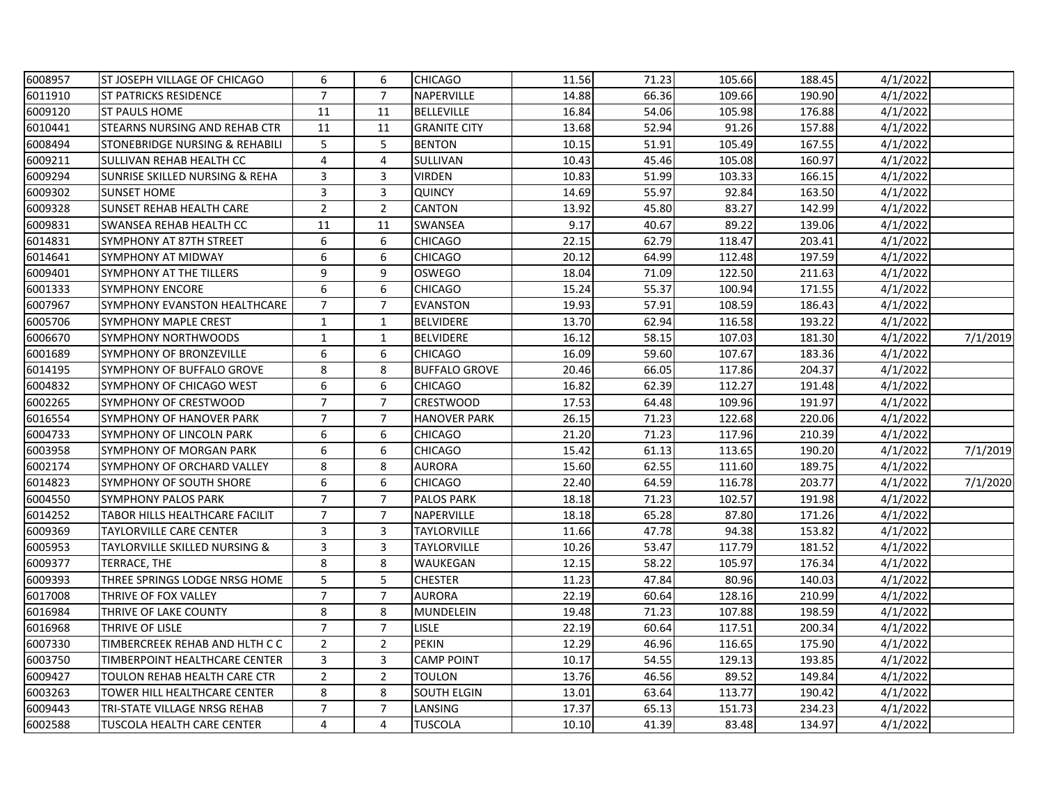| 6008957 | <b>ST JOSEPH VILLAGE OF CHICAGO</b>       | 6              | 6              | <b>CHICAGO</b>       | 11.56 | 71.23 | 105.66 | 188.45 | 4/1/2022 |          |
|---------|-------------------------------------------|----------------|----------------|----------------------|-------|-------|--------|--------|----------|----------|
| 6011910 | <b>ST PATRICKS RESIDENCE</b>              | $\overline{7}$ | $\overline{7}$ | NAPERVILLE           | 14.88 | 66.36 | 109.66 | 190.90 | 4/1/2022 |          |
| 6009120 | <b>ST PAULS HOME</b>                      | 11             | 11             | <b>BELLEVILLE</b>    | 16.84 | 54.06 | 105.98 | 176.88 | 4/1/2022 |          |
| 6010441 | <b>STEARNS NURSING AND REHAB CTR</b>      | 11             | 11             | <b>GRANITE CITY</b>  | 13.68 | 52.94 | 91.26  | 157.88 | 4/1/2022 |          |
| 6008494 | STONEBRIDGE NURSING & REHABILI            | 5              | 5              | <b>BENTON</b>        | 10.15 | 51.91 | 105.49 | 167.55 | 4/1/2022 |          |
| 6009211 | SULLIVAN REHAB HEALTH CC                  | $\overline{4}$ | 4              | SULLIVAN             | 10.43 | 45.46 | 105.08 | 160.97 | 4/1/2022 |          |
| 6009294 | <b>SUNRISE SKILLED NURSING &amp; REHA</b> | 3              | 3              | <b>VIRDEN</b>        | 10.83 | 51.99 | 103.33 | 166.15 | 4/1/2022 |          |
| 6009302 | <b>SUNSET HOME</b>                        | 3              | 3              | <b>QUINCY</b>        | 14.69 | 55.97 | 92.84  | 163.50 | 4/1/2022 |          |
| 6009328 | <b>SUNSET REHAB HEALTH CARE</b>           | $\overline{2}$ | $\overline{2}$ | <b>CANTON</b>        | 13.92 | 45.80 | 83.27  | 142.99 | 4/1/2022 |          |
| 6009831 | SWANSEA REHAB HEALTH CC                   | 11             | 11             | <b>SWANSEA</b>       | 9.17  | 40.67 | 89.22  | 139.06 | 4/1/2022 |          |
| 6014831 | SYMPHONY AT 87TH STREET                   | 6              | 6              | <b>CHICAGO</b>       | 22.15 | 62.79 | 118.47 | 203.41 | 4/1/2022 |          |
| 6014641 | SYMPHONY AT MIDWAY                        | 6              | 6              | <b>CHICAGO</b>       | 20.12 | 64.99 | 112.48 | 197.59 | 4/1/2022 |          |
| 6009401 | <b>SYMPHONY AT THE TILLERS</b>            | 9              | 9              | <b>OSWEGO</b>        | 18.04 | 71.09 | 122.50 | 211.63 | 4/1/2022 |          |
| 6001333 | <b>SYMPHONY ENCORE</b>                    | 6              | 6              | <b>CHICAGO</b>       | 15.24 | 55.37 | 100.94 | 171.55 | 4/1/2022 |          |
| 6007967 | SYMPHONY EVANSTON HEALTHCARE              | $\overline{7}$ | $\overline{7}$ | <b>EVANSTON</b>      | 19.93 | 57.91 | 108.59 | 186.43 | 4/1/2022 |          |
| 6005706 | <b>SYMPHONY MAPLE CREST</b>               | $\mathbf{1}$   | $\mathbf{1}$   | <b>BELVIDERE</b>     | 13.70 | 62.94 | 116.58 | 193.22 | 4/1/2022 |          |
| 6006670 | SYMPHONY NORTHWOODS                       | $\mathbf{1}$   | $\mathbf{1}$   | <b>BELVIDERE</b>     | 16.12 | 58.15 | 107.03 | 181.30 | 4/1/2022 | 7/1/2019 |
| 6001689 | SYMPHONY OF BRONZEVILLE                   | 6              | 6              | <b>CHICAGO</b>       | 16.09 | 59.60 | 107.67 | 183.36 | 4/1/2022 |          |
| 6014195 | SYMPHONY OF BUFFALO GROVE                 | 8              | 8              | <b>BUFFALO GROVE</b> | 20.46 | 66.05 | 117.86 | 204.37 | 4/1/2022 |          |
| 6004832 | SYMPHONY OF CHICAGO WEST                  | 6              | 6              | <b>CHICAGO</b>       | 16.82 | 62.39 | 112.27 | 191.48 | 4/1/2022 |          |
| 6002265 | SYMPHONY OF CRESTWOOD                     | $\overline{7}$ | $\overline{7}$ | <b>CRESTWOOD</b>     | 17.53 | 64.48 | 109.96 | 191.97 | 4/1/2022 |          |
| 6016554 | SYMPHONY OF HANOVER PARK                  | $\overline{7}$ | $\overline{7}$ | <b>HANOVER PARK</b>  | 26.15 | 71.23 | 122.68 | 220.06 | 4/1/2022 |          |
| 6004733 | SYMPHONY OF LINCOLN PARK                  | 6              | 6              | <b>CHICAGO</b>       | 21.20 | 71.23 | 117.96 | 210.39 | 4/1/2022 |          |
| 6003958 | SYMPHONY OF MORGAN PARK                   | 6              | 6              | <b>CHICAGO</b>       | 15.42 | 61.13 | 113.65 | 190.20 | 4/1/2022 | 7/1/2019 |
| 6002174 | SYMPHONY OF ORCHARD VALLEY                | 8              | 8              | <b>AURORA</b>        | 15.60 | 62.55 | 111.60 | 189.75 | 4/1/2022 |          |
| 6014823 | <b>SYMPHONY OF SOUTH SHORE</b>            | 6              | 6              | <b>CHICAGO</b>       | 22.40 | 64.59 | 116.78 | 203.77 | 4/1/2022 | 7/1/2020 |
| 6004550 | <b>SYMPHONY PALOS PARK</b>                | $\overline{7}$ | $\overline{7}$ | <b>PALOS PARK</b>    | 18.18 | 71.23 | 102.57 | 191.98 | 4/1/2022 |          |
| 6014252 | TABOR HILLS HEALTHCARE FACILIT            | $\overline{7}$ | $\overline{7}$ | <b>NAPERVILLE</b>    | 18.18 | 65.28 | 87.80  | 171.26 | 4/1/2022 |          |
| 6009369 | <b>TAYLORVILLE CARE CENTER</b>            | 3              | 3              | <b>TAYLORVILLE</b>   | 11.66 | 47.78 | 94.38  | 153.82 | 4/1/2022 |          |
| 6005953 | <b>TAYLORVILLE SKILLED NURSING &amp;</b>  | 3              | 3              | <b>TAYLORVILLE</b>   | 10.26 | 53.47 | 117.79 | 181.52 | 4/1/2022 |          |
| 6009377 | TERRACE, THE                              | 8              | 8              | WAUKEGAN             | 12.15 | 58.22 | 105.97 | 176.34 | 4/1/2022 |          |
| 6009393 | THREE SPRINGS LODGE NRSG HOME             | 5              | 5              | <b>CHESTER</b>       | 11.23 | 47.84 | 80.96  | 140.03 | 4/1/2022 |          |
| 6017008 | THRIVE OF FOX VALLEY                      | $\overline{7}$ | $\overline{7}$ | <b>AURORA</b>        | 22.19 | 60.64 | 128.16 | 210.99 | 4/1/2022 |          |
| 6016984 | THRIVE OF LAKE COUNTY                     | 8              | 8              | MUNDELEIN            | 19.48 | 71.23 | 107.88 | 198.59 | 4/1/2022 |          |
| 6016968 | THRIVE OF LISLE                           | $\overline{7}$ | $\overline{7}$ | LISLE                | 22.19 | 60.64 | 117.51 | 200.34 | 4/1/2022 |          |
| 6007330 | TIMBERCREEK REHAB AND HLTH C C            | $\overline{2}$ | $\overline{2}$ | <b>PEKIN</b>         | 12.29 | 46.96 | 116.65 | 175.90 | 4/1/2022 |          |
| 6003750 | TIMBERPOINT HEALTHCARE CENTER             | 3              | 3              | <b>CAMP POINT</b>    | 10.17 | 54.55 | 129.13 | 193.85 | 4/1/2022 |          |
| 6009427 | TOULON REHAB HEALTH CARE CTR              | $\overline{2}$ | $\overline{2}$ | TOULON               | 13.76 | 46.56 | 89.52  | 149.84 | 4/1/2022 |          |
| 6003263 | TOWER HILL HEALTHCARE CENTER              | 8              | 8              | <b>SOUTH ELGIN</b>   | 13.01 | 63.64 | 113.77 | 190.42 | 4/1/2022 |          |
| 6009443 | TRI-STATE VILLAGE NRSG REHAB              | $\overline{7}$ | $\overline{7}$ | LANSING              | 17.37 | 65.13 | 151.73 | 234.23 | 4/1/2022 |          |
| 6002588 | <b>TUSCOLA HEALTH CARE CENTER</b>         | 4              | $\overline{4}$ | <b>TUSCOLA</b>       | 10.10 | 41.39 | 83.48  | 134.97 | 4/1/2022 |          |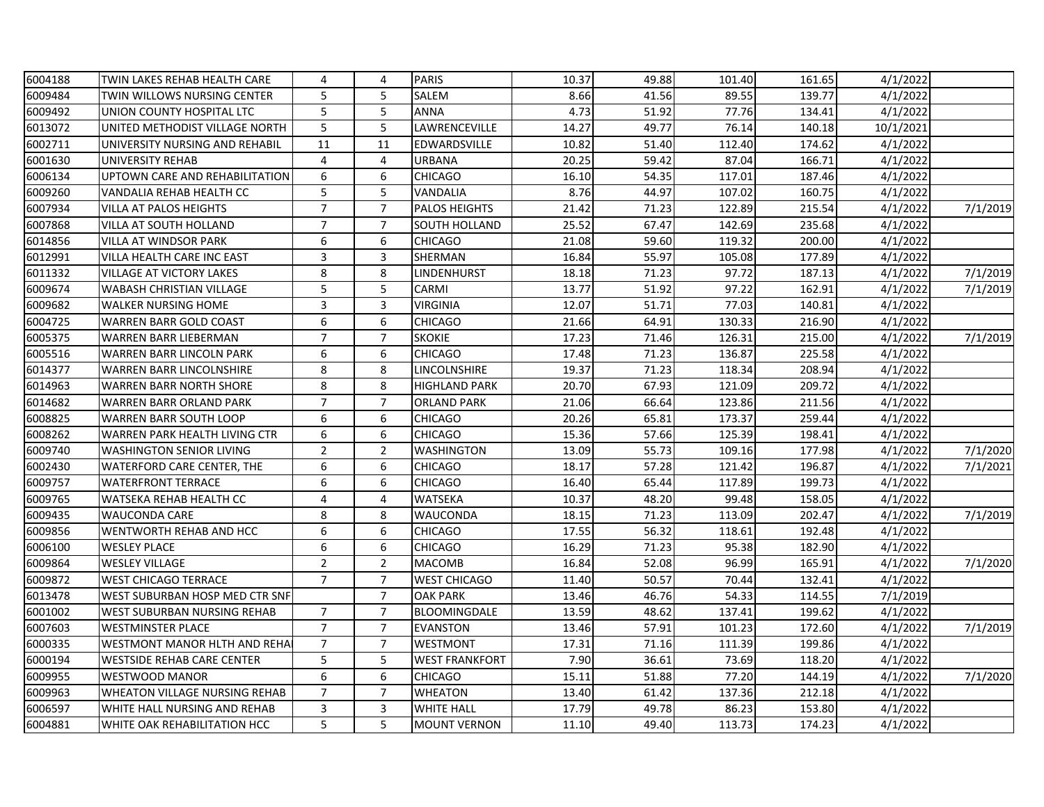| 6004188 | TWIN LAKES REHAB HEALTH CARE         | 4              | 4              | <b>PARIS</b>          | 10.37 | 49.88 | 101.40 | 161.65 | 4/1/2022  |          |
|---------|--------------------------------------|----------------|----------------|-----------------------|-------|-------|--------|--------|-----------|----------|
| 6009484 | TWIN WILLOWS NURSING CENTER          | 5              | 5              | SALEM                 | 8.66  | 41.56 | 89.55  | 139.77 | 4/1/2022  |          |
| 6009492 | UNION COUNTY HOSPITAL LTC            | 5              | 5              | <b>ANNA</b>           | 4.73  | 51.92 | 77.76  | 134.41 | 4/1/2022  |          |
| 6013072 | UNITED METHODIST VILLAGE NORTH       | 5              | 5              | LAWRENCEVILLE         | 14.27 | 49.77 | 76.14  | 140.18 | 10/1/2021 |          |
| 6002711 | UNIVERSITY NURSING AND REHABIL       | 11             | 11             | EDWARDSVILLE          | 10.82 | 51.40 | 112.40 | 174.62 | 4/1/2022  |          |
| 6001630 | UNIVERSITY REHAB                     | 4              | 4              | URBANA                | 20.25 | 59.42 | 87.04  | 166.71 | 4/1/2022  |          |
| 6006134 | UPTOWN CARE AND REHABILITATION       | 6              | 6              | <b>CHICAGO</b>        | 16.10 | 54.35 | 117.01 | 187.46 | 4/1/2022  |          |
| 6009260 | VANDALIA REHAB HEALTH CC             | 5              | 5              | VANDALIA              | 8.76  | 44.97 | 107.02 | 160.75 | 4/1/2022  |          |
| 6007934 | <b>VILLA AT PALOS HEIGHTS</b>        | $\overline{7}$ | $\overline{7}$ | <b>PALOS HEIGHTS</b>  | 21.42 | 71.23 | 122.89 | 215.54 | 4/1/2022  | 7/1/2019 |
| 6007868 | <b>VILLA AT SOUTH HOLLAND</b>        | $\overline{7}$ | 7              | <b>SOUTH HOLLAND</b>  | 25.52 | 67.47 | 142.69 | 235.68 | 4/1/2022  |          |
| 6014856 | <b>VILLA AT WINDSOR PARK</b>         | 6              | 6              | <b>CHICAGO</b>        | 21.08 | 59.60 | 119.32 | 200.00 | 4/1/2022  |          |
| 6012991 | VILLA HEALTH CARE INC EAST           | $\mathsf{3}$   | 3              | SHERMAN               | 16.84 | 55.97 | 105.08 | 177.89 | 4/1/2022  |          |
| 6011332 | <b>VILLAGE AT VICTORY LAKES</b>      | 8              | 8              | LINDENHURST           | 18.18 | 71.23 | 97.72  | 187.13 | 4/1/2022  | 7/1/2019 |
| 6009674 | <b>WABASH CHRISTIAN VILLAGE</b>      | 5              | 5              | CARMI                 | 13.77 | 51.92 | 97.22  | 162.91 | 4/1/2022  | 7/1/2019 |
| 6009682 | <b>WALKER NURSING HOME</b>           | 3              | 3              | <b>VIRGINIA</b>       | 12.07 | 51.71 | 77.03  | 140.81 | 4/1/2022  |          |
| 6004725 | <b>WARREN BARR GOLD COAST</b>        | 6              | 6              | <b>CHICAGO</b>        | 21.66 | 64.91 | 130.33 | 216.90 | 4/1/2022  |          |
| 6005375 | <b>WARREN BARR LIEBERMAN</b>         | $\overline{7}$ | $\overline{7}$ | <b>SKOKIE</b>         | 17.23 | 71.46 | 126.31 | 215.00 | 4/1/2022  | 7/1/2019 |
| 6005516 | <b>WARREN BARR LINCOLN PARK</b>      | 6              | 6              | <b>CHICAGO</b>        | 17.48 | 71.23 | 136.87 | 225.58 | 4/1/2022  |          |
| 6014377 | <b>WARREN BARR LINCOLNSHIRE</b>      | 8              | 8              | LINCOLNSHIRE          | 19.37 | 71.23 | 118.34 | 208.94 | 4/1/2022  |          |
| 6014963 | <b>WARREN BARR NORTH SHORE</b>       | 8              | 8              | <b>HIGHLAND PARK</b>  | 20.70 | 67.93 | 121.09 | 209.72 | 4/1/2022  |          |
| 6014682 | <b>WARREN BARR ORLAND PARK</b>       | $\overline{7}$ | $\overline{7}$ | <b>ORLAND PARK</b>    | 21.06 | 66.64 | 123.86 | 211.56 | 4/1/2022  |          |
| 6008825 | <b>WARREN BARR SOUTH LOOP</b>        | 6              | 6              | <b>CHICAGO</b>        | 20.26 | 65.81 | 173.37 | 259.44 | 4/1/2022  |          |
| 6008262 | WARREN PARK HEALTH LIVING CTR        | 6              | 6              | <b>CHICAGO</b>        | 15.36 | 57.66 | 125.39 | 198.41 | 4/1/2022  |          |
| 6009740 | <b>WASHINGTON SENIOR LIVING</b>      | $\overline{2}$ | $\overline{2}$ | <b>WASHINGTON</b>     | 13.09 | 55.73 | 109.16 | 177.98 | 4/1/2022  | 7/1/2020 |
| 6002430 | WATERFORD CARE CENTER, THE           | 6              | 6              | <b>CHICAGO</b>        | 18.17 | 57.28 | 121.42 | 196.87 | 4/1/2022  | 7/1/2021 |
| 6009757 | <b>WATERFRONT TERRACE</b>            | 6              | 6              | <b>CHICAGO</b>        | 16.40 | 65.44 | 117.89 | 199.73 | 4/1/2022  |          |
| 6009765 | <b>WATSEKA REHAB HEALTH CC</b>       | 4              | 4              | WATSEKA               | 10.37 | 48.20 | 99.48  | 158.05 | 4/1/2022  |          |
| 6009435 | <b>WAUCONDA CARE</b>                 | 8              | 8              | WAUCONDA              | 18.15 | 71.23 | 113.09 | 202.47 | 4/1/2022  | 7/1/2019 |
| 6009856 | <b>WENTWORTH REHAB AND HCC</b>       | 6              | 6              | <b>CHICAGO</b>        | 17.55 | 56.32 | 118.61 | 192.48 | 4/1/2022  |          |
| 6006100 | <b>WESLEY PLACE</b>                  | 6              | 6              | <b>CHICAGO</b>        | 16.29 | 71.23 | 95.38  | 182.90 | 4/1/2022  |          |
| 6009864 | <b>WESLEY VILLAGE</b>                | $\overline{2}$ | $\overline{2}$ | <b>MACOMB</b>         | 16.84 | 52.08 | 96.99  | 165.91 | 4/1/2022  | 7/1/2020 |
| 6009872 | <b>WEST CHICAGO TERRACE</b>          | $\overline{7}$ | $\overline{7}$ | <b>WEST CHICAGO</b>   | 11.40 | 50.57 | 70.44  | 132.41 | 4/1/2022  |          |
| 6013478 | WEST SUBURBAN HOSP MED CTR SNF       |                | $\overline{7}$ | <b>OAK PARK</b>       | 13.46 | 46.76 | 54.33  | 114.55 | 7/1/2019  |          |
| 6001002 | <b>WEST SUBURBAN NURSING REHAB</b>   | $\overline{7}$ | $\overline{7}$ | BLOOMINGDALE          | 13.59 | 48.62 | 137.41 | 199.62 | 4/1/2022  |          |
| 6007603 | <b>WESTMINSTER PLACE</b>             | $\overline{7}$ | $\overline{7}$ | <b>EVANSTON</b>       | 13.46 | 57.91 | 101.23 | 172.60 | 4/1/2022  | 7/1/2019 |
| 6000335 | <b>WESTMONT MANOR HLTH AND REHA</b>  | $\overline{7}$ | $\overline{7}$ | <b>WESTMONT</b>       | 17.31 | 71.16 | 111.39 | 199.86 | 4/1/2022  |          |
| 6000194 | <b>WESTSIDE REHAB CARE CENTER</b>    | 5              | 5              | <b>WEST FRANKFORT</b> | 7.90  | 36.61 | 73.69  | 118.20 | 4/1/2022  |          |
| 6009955 | <b>WESTWOOD MANOR</b>                | 6              | 6              | <b>CHICAGO</b>        | 15.11 | 51.88 | 77.20  | 144.19 | 4/1/2022  | 7/1/2020 |
| 6009963 | <b>WHEATON VILLAGE NURSING REHAB</b> | $\overline{7}$ | $\overline{7}$ | WHEATON               | 13.40 | 61.42 | 137.36 | 212.18 | 4/1/2022  |          |
| 6006597 | WHITE HALL NURSING AND REHAB         | 3              | 3              | <b>WHITE HALL</b>     | 17.79 | 49.78 | 86.23  | 153.80 | 4/1/2022  |          |
| 6004881 | <b>WHITE OAK REHABILITATION HCC</b>  | 5              | 5              | <b>MOUNT VERNON</b>   | 11.10 | 49.40 | 113.73 | 174.23 | 4/1/2022  |          |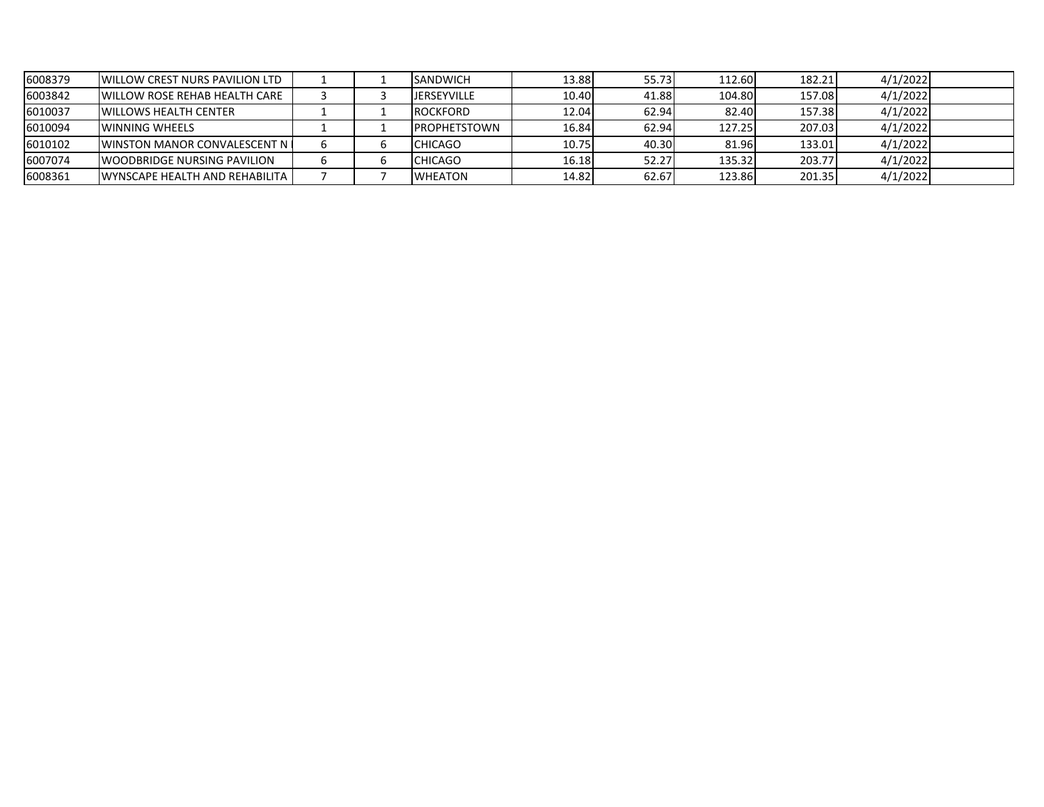| 6008379 | <b>IWILLOW CREST NURS PAVILION LTD</b>  |  | <b>SANDWICH</b>      | 13.88 | 55.73 | 112.60 | 182.21 | 4/1/2022 |  |
|---------|-----------------------------------------|--|----------------------|-------|-------|--------|--------|----------|--|
| 6003842 | <b>IWILLOW ROSE REHAB HEALTH CARE</b>   |  | <b>JERSEYVILLE</b>   | 10.40 | 41.88 | 104.80 | 157.08 | 4/1/2022 |  |
| 6010037 | <b>WILLOWS HEALTH CENTER</b>            |  | <b>ROCKFORD</b>      | 12.04 | 62.94 | 82.40  | 157.38 | 4/1/2022 |  |
| 6010094 | <b>WINNING WHEELS</b>                   |  | <b>IPROPHETSTOWN</b> | 16.84 | 62.94 | 127.25 | 207.03 | 4/1/2022 |  |
| 6010102 | <b>IWINSTON MANOR CONVALESCENT N</b>    |  | <b>CHICAGO</b>       | 10.75 | 40.30 | 81.96  | 133.01 | 4/1/2022 |  |
| 6007074 | <b>IWOODBRIDGE NURSING PAVILION</b>     |  | <b>CHICAGO</b>       | 16.18 | 52.27 | 135.32 | 203.77 | 4/1/2022 |  |
| 6008361 | <b>WYNSCAPE HEALTH AND REHABILITA I</b> |  | <b>WHEATON</b>       | 14.82 | 62.67 | 123.86 | 201.35 | 4/1/2022 |  |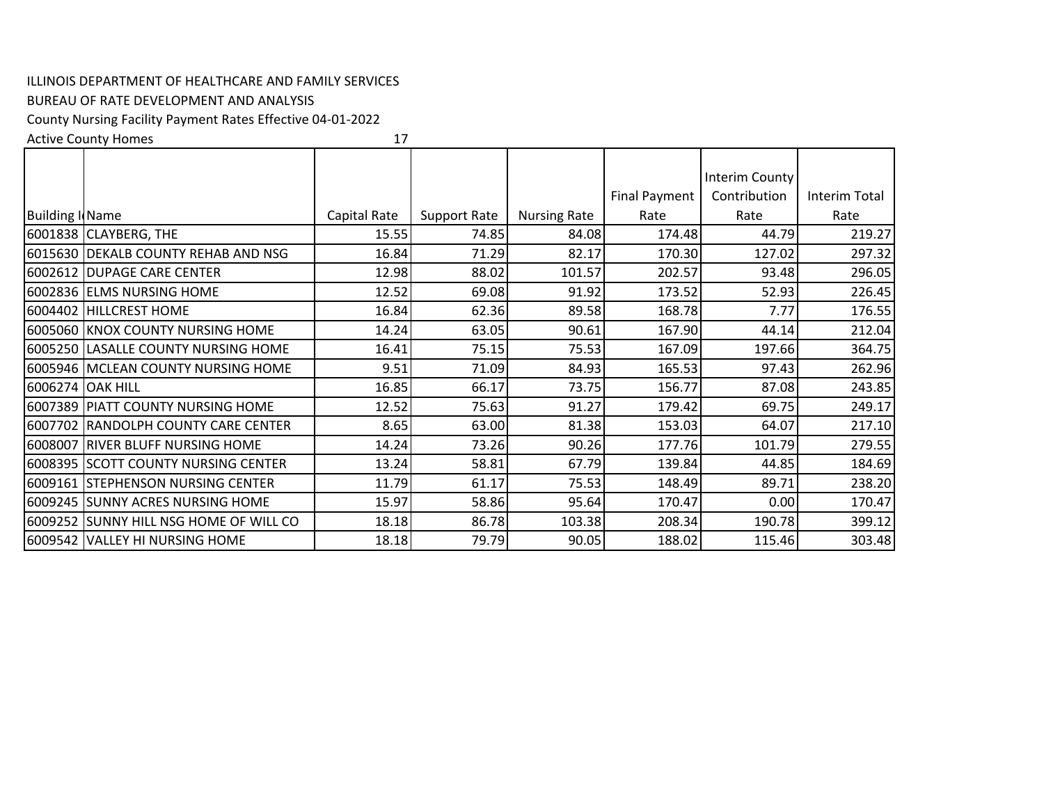## ILLINOIS DEPARTMENT OF HEALTHCARE AND FAMILY SERVICES

## BUREAU OF RATE DEVELOPMENT AND ANALYSIS

County Nursing Facility Payment Rates Effective 04‐01‐2022

Active County Homes

17

|                        |                                        |              |                     |                     |                      | Interim County |               |
|------------------------|----------------------------------------|--------------|---------------------|---------------------|----------------------|----------------|---------------|
|                        |                                        |              |                     |                     | <b>Final Payment</b> | Contribution   | Interim Total |
| <b>Building I</b> Name |                                        | Capital Rate | <b>Support Rate</b> | <b>Nursing Rate</b> | Rate                 | Rate           | Rate          |
|                        | 6001838 CLAYBERG, THE                  | 15.55        | 74.85               | 84.08               | 174.48               | 44.79          | 219.27        |
|                        | 6015630 DEKALB COUNTY REHAB AND NSG    | 16.84        | 71.29               | 82.17               | 170.30               | 127.02         | 297.32        |
|                        | 6002612 DUPAGE CARE CENTER             | 12.98        | 88.02               | 101.57              | 202.57               | 93.48          | 296.05        |
|                        | 6002836 ELMS NURSING HOME              | 12.52        | 69.08               | 91.92               | 173.52               | 52.93          | 226.45        |
| 6004402                | <b>HILLCREST HOME</b>                  | 16.84        | 62.36               | 89.58               | 168.78               | 7.77           | 176.55        |
|                        | 6005060 KNOX COUNTY NURSING HOME       | 14.24        | 63.05               | 90.61               | 167.90               | 44.14          | 212.04        |
|                        | 6005250 LASALLE COUNTY NURSING HOME    | 16.41        | 75.15               | 75.53               | 167.09               | 197.66         | 364.75        |
|                        | 6005946 MCLEAN COUNTY NURSING HOME     | 9.51         | 71.09               | 84.93               | 165.53               | 97.43          | 262.96        |
|                        | 6006274 OAK HILL                       | 16.85        | 66.17               | 73.75               | 156.77               | 87.08          | 243.85        |
|                        | 6007389 PIATT COUNTY NURSING HOME      | 12.52        | 75.63               | 91.27               | 179.42               | 69.75          | 249.17        |
|                        | 6007702 RANDOLPH COUNTY CARE CENTER    | 8.65         | 63.00               | 81.38               | 153.03               | 64.07          | 217.10        |
|                        | 6008007 RIVER BLUFF NURSING HOME       | 14.24        | 73.26               | 90.26               | 177.76               | 101.79         | 279.55        |
|                        | 6008395 SCOTT COUNTY NURSING CENTER    | 13.24        | 58.81               | 67.79               | 139.84               | 44.85          | 184.69        |
|                        | 6009161 STEPHENSON NURSING CENTER      | 11.79        | 61.17               | 75.53               | 148.49               | 89.71          | 238.20        |
|                        | 6009245 SUNNY ACRES NURSING HOME       | 15.97        | 58.86               | 95.64               | 170.47               | 0.00           | 170.47        |
|                        | 6009252 SUNNY HILL NSG HOME OF WILL CO | 18.18        | 86.78               | 103.38              | 208.34               | 190.78         | 399.12        |
|                        | 6009542 VALLEY HI NURSING HOME         | 18.18        | 79.79               | 90.05               | 188.02               | 115.46         | 303.48        |